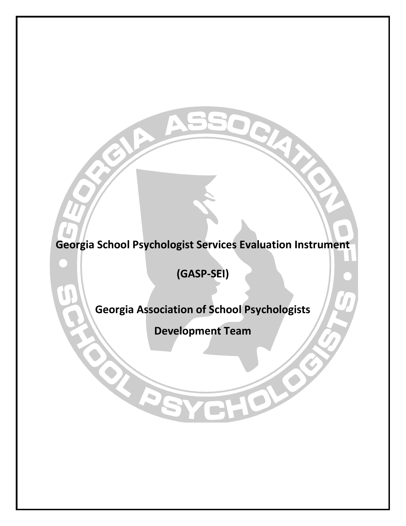**Georgia School Psychologist Services Evaluation Instrument** 

**(GASP-SEI)**

**Georgia Association of School Psychologists**

**Development Team**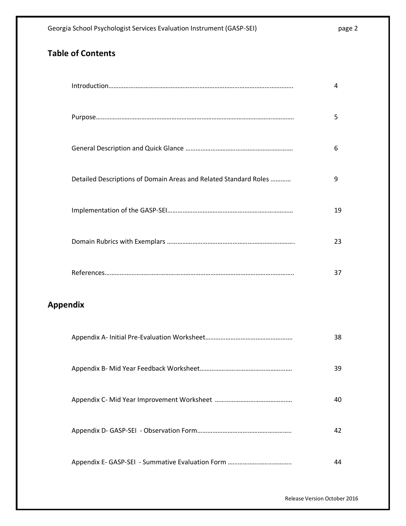# **Table of Contents**

|                 |                                                                  | 4  |
|-----------------|------------------------------------------------------------------|----|
|                 |                                                                  | 5  |
|                 |                                                                  | 6  |
|                 | Detailed Descriptions of Domain Areas and Related Standard Roles | 9  |
|                 |                                                                  | 19 |
|                 |                                                                  | 23 |
|                 |                                                                  | 37 |
| <b>Appendix</b> |                                                                  |    |
|                 |                                                                  | 38 |
|                 |                                                                  | 39 |

Appendix C- Mid Year Improvement Worksheet ………………………………………. 40

Appendix D- GASP-SEI - Observation Form……………………………………………….. 42

Appendix E- GASP-SEI - Summative Evaluation Form ……………………………….. 44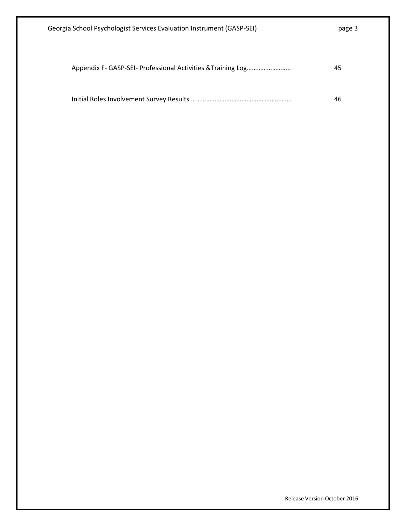| Georgia School Psychologist Services Evaluation Instrument (GASP-SEI) | page 3 |
|-----------------------------------------------------------------------|--------|
|                                                                       |        |
|                                                                       | 45     |
|                                                                       | 46     |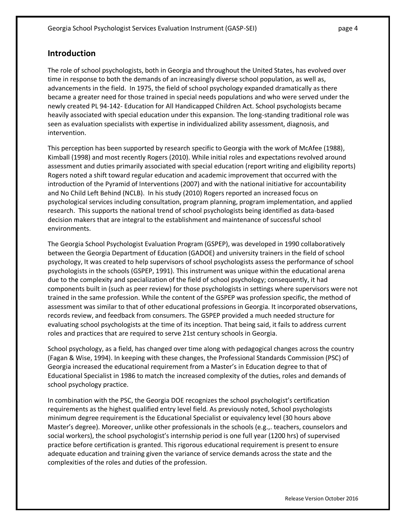## **Introduction**

The role of school psychologists, both in Georgia and throughout the United States, has evolved over time in response to both the demands of an increasingly diverse school population, as well as, advancements in the field. In 1975, the field of school psychology expanded dramatically as there became a greater need for those trained in special needs populations and who were served under the newly created PL 94-142- Education for All Handicapped Children Act. School psychologists became heavily associated with special education under this expansion. The long-standing traditional role was seen as evaluation specialists with expertise in individualized ability assessment, diagnosis, and intervention.

This perception has been supported by research specific to Georgia with the work of McAfee (1988), Kimball (1998) and most recently Rogers (2010). While initial roles and expectations revolved around assessment and duties primarily associated with special education (report writing and eligibility reports) Rogers noted a shift toward regular education and academic improvement that occurred with the introduction of the Pyramid of Interventions (2007) and with the national initiative for accountability and No Child Left Behind (NCLB). In his study (2010) Rogers reported an increased focus on psychological services including consultation, program planning, program implementation, and applied research. This supports the national trend of school psychologists being identified as data-based decision makers that are integral to the establishment and maintenance of successful school environments.

The Georgia School Psychologist Evaluation Program (GSPEP), was developed in 1990 collaboratively between the Georgia Department of Education (GADOE) and university trainers in the field of school psychology, It was created to help supervisors of school psychologists assess the performance of school psychologists in the schools (GSPEP, 1991). This instrument was unique within the educational arena due to the complexity and specialization of the field of school psychology; consequently, it had components built in (such as peer review) for those psychologists in settings where supervisors were not trained in the same profession. While the content of the GSPEP was profession specific, the method of assessment was similar to that of other educational professions in Georgia. It incorporated observations, records review, and feedback from consumers. The GSPEP provided a much needed structure for evaluating school psychologists at the time of its inception. That being said, it fails to address current roles and practices that are required to serve 21st century schools in Georgia.

School psychology, as a field, has changed over time along with pedagogical changes across the country (Fagan & Wise, 1994). In keeping with these changes, the Professional Standards Commission (PSC) of Georgia increased the educational requirement from a Master's in Education degree to that of Educational Specialist in 1986 to match the increased complexity of the duties, roles and demands of school psychology practice.

In combination with the PSC, the Georgia DOE recognizes the school psychologist's certification requirements as the highest qualified entry level field. As previously noted, School psychologists minimum degree requirement is the Educational Specialist or equivalency level (30 hours above Master's degree). Moreover, unlike other professionals in the schools (e.g.,. teachers, counselors and social workers), the school psychologist's internship period is one full year (1200 hrs) of supervised practice before certification is granted. This rigorous educational requirement is present to ensure adequate education and training given the variance of service demands across the state and the complexities of the roles and duties of the profession.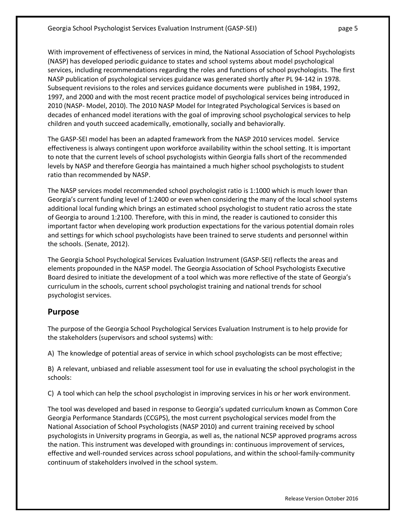With improvement of effectiveness of services in mind, the National Association of School Psychologists (NASP) has developed periodic guidance to states and school systems about model psychological services, including recommendations regarding the roles and functions of school psychologists. The first NASP publication of psychological services guidance was generated shortly after PL 94-142 in 1978. Subsequent revisions to the roles and services guidance documents were published in 1984, 1992, 1997, and 2000 and with the most recent practice model of psychological services being introduced in 2010 (NASP- Model, 2010). The 2010 NASP Model for Integrated Psychological Services is based on decades of enhanced model iterations with the goal of improving school psychological services to help children and youth succeed academically, emotionally, socially and behaviorally.

The GASP-SEI model has been an adapted framework from the NASP 2010 services model. Service effectiveness is always contingent upon workforce availability within the school setting. It is important to note that the current levels of school psychologists within Georgia falls short of the recommended levels by NASP and therefore Georgia has maintained a much higher school psychologists to student ratio than recommended by NASP.

The NASP services model recommended school psychologist ratio is 1:1000 which is much lower than Georgia's current funding level of 1:2400 or even when considering the many of the local school systems additional local funding which brings an estimated school psychologist to student ratio across the state of Georgia to around 1:2100. Therefore, with this in mind, the reader is cautioned to consider this important factor when developing work production expectations for the various potential domain roles and settings for which school psychologists have been trained to serve students and personnel within the schools. (Senate, 2012).

The Georgia School Psychological Services Evaluation Instrument (GASP-SEI) reflects the areas and elements propounded in the NASP model. The Georgia Association of School Psychologists Executive Board desired to initiate the development of a tool which was more reflective of the state of Georgia's curriculum in the schools, current school psychologist training and national trends for school psychologist services.

## **Purpose**

The purpose of the Georgia School Psychological Services Evaluation Instrument is to help provide for the stakeholders (supervisors and school systems) with:

A) The knowledge of potential areas of service in which school psychologists can be most effective;

B) A relevant, unbiased and reliable assessment tool for use in evaluating the school psychologist in the schools:

C) A tool which can help the school psychologist in improving services in his or her work environment.

The tool was developed and based in response to Georgia's updated curriculum known as Common Core Georgia Performance Standards (CCGPS), the most current psychological services model from the National Association of School Psychologists (NASP 2010) and current training received by school psychologists in University programs in Georgia, as well as, the national NCSP approved programs across the nation. This instrument was developed with groundings in: continuous improvement of services, effective and well-rounded services across school populations, and within the school-family-community continuum of stakeholders involved in the school system.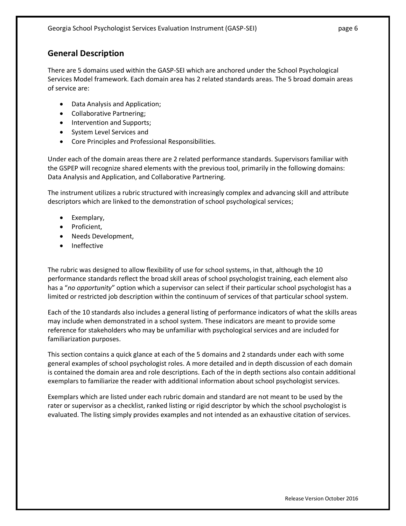## **General Description**

There are 5 domains used within the GASP-SEI which are anchored under the School Psychological Services Model framework. Each domain area has 2 related standards areas. The 5 broad domain areas of service are:

- Data Analysis and Application;
- Collaborative Partnering;
- Intervention and Supports;
- System Level Services and
- Core Principles and Professional Responsibilities.

Under each of the domain areas there are 2 related performance standards. Supervisors familiar with the GSPEP will recognize shared elements with the previous tool, primarily in the following domains: Data Analysis and Application, and Collaborative Partnering.

The instrument utilizes a rubric structured with increasingly complex and advancing skill and attribute descriptors which are linked to the demonstration of school psychological services;

- Exemplary,
- Proficient,
- Needs Development,
- Ineffective

The rubric was designed to allow flexibility of use for school systems, in that, although the 10 performance standards reflect the broad skill areas of school psychologist training, each element also has a "*no opportunity*" option which a supervisor can select if their particular school psychologist has a limited or restricted job description within the continuum of services of that particular school system.

Each of the 10 standards also includes a general listing of performance indicators of what the skills areas may include when demonstrated in a school system. These indicators are meant to provide some reference for stakeholders who may be unfamiliar with psychological services and are included for familiarization purposes.

This section contains a quick glance at each of the 5 domains and 2 standards under each with some general examples of school psychologist roles. A more detailed and in depth discussion of each domain is contained the domain area and role descriptions. Each of the in depth sections also contain additional exemplars to familiarize the reader with additional information about school psychologist services.

Exemplars which are listed under each rubric domain and standard are not meant to be used by the rater or supervisor as a checklist, ranked listing or rigid descriptor by which the school psychologist is evaluated. The listing simply provides examples and not intended as an exhaustive citation of services.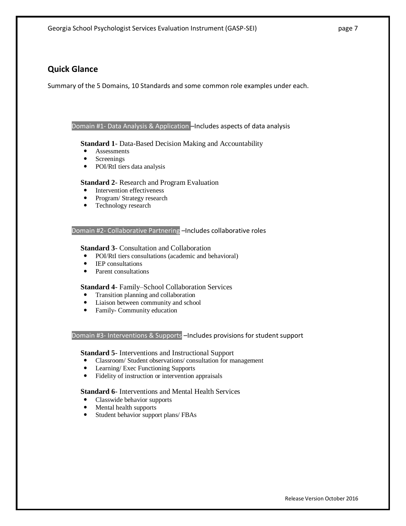## **Quick Glance**

Summary of the 5 Domains, 10 Standards and some common role examples under each.

### Domain #1- Data Analysis & Application –Includes aspects of data analysis

**Standard 1**- Data-Based Decision Making and Accountability

- Assessments
- Screenings
- POI/RtI tiers data analysis

### **Standard 2**- Research and Program Evaluation

- Intervention effectiveness
- Program/ Strategy research
- Technology research

### Domain #2- Collaborative Partnering -Includes collaborative roles

### **Standard 3**- Consultation and Collaboration

- POI/RtI tiers consultations (academic and behavioral)
- IEP consultations
- Parent consultations

### **Standard 4**- Family–School Collaboration Services

- Transition planning and collaboration
- Liaison between community and school
- Family- Community education

#### Domain #3- Interventions & Supports –Includes provisions for student support

**Standard 5**- Interventions and Instructional Support

- Classroom/ Student observations/ consultation for management
- Learning/ Exec Functioning Supports
- Fidelity of instruction or intervention appraisals

**Standard 6**- Interventions and Mental Health Services

- Classwide behavior supports
- Mental health supports
- Student behavior support plans/ FBAs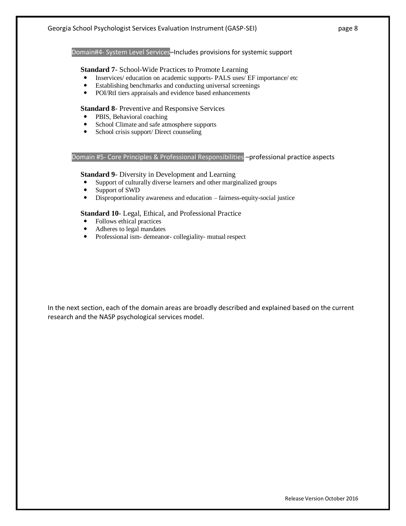Domain#4- System Level Services–Includes provisions for systemic support

### **Standard 7**- School-Wide Practices to Promote Learning

- Inservices/ education on academic supports- PALS uses/ EF importance/ etc
- Establishing benchmarks and conducting universal screenings
- POI/RtI tiers appraisals and evidence based enhancements

### **Standard 8**- Preventive and Responsive Services

- PBIS, Behavioral coaching
- School Climate and safe atmosphere supports
- School crisis support/ Direct counseling

### Domain #5- Core Principles & Professional Responsibilities - professional practice aspects

#### **Standard 9**- Diversity in Development and Learning

- Support of culturally diverse learners and other marginalized groups
- Support of SWD
- Disproportionality awareness and education fairness-equity-social justice

### **Standard 10**- Legal, Ethical, and Professional Practice

- Follows ethical practices
- Adheres to legal mandates
- Professional ism- demeanor- collegiality- mutual respect

In the next section, each of the domain areas are broadly described and explained based on the current research and the NASP psychological services model.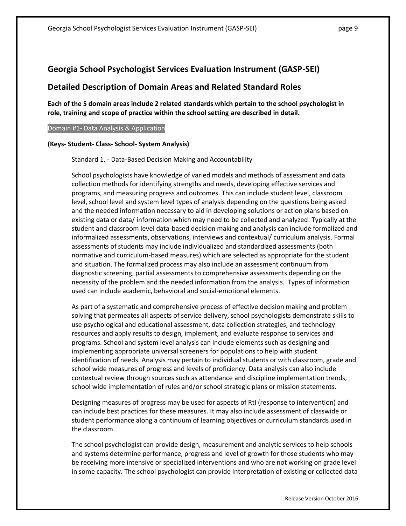## **Detailed Description of Domain Areas and Related Standard Roles**

**Each of the 5 domain areas include 2 related standards which pertain to the school psychologist in role, training and scope of practice within the school setting are described in detail.** 

### Domain #1- Data Analysis & Application

### **(Keys- Student- Class- School- System Analysis)**

Standard 1. - Data-Based Decision Making and Accountability

School psychologists have knowledge of varied models and methods of assessment and data collection methods for identifying strengths and needs, developing effective services and programs, and measuring progress and outcomes. This can include student level, classroom level, school level and system level types of analysis depending on the questions being asked and the needed information necessary to aid in developing solutions or action plans based on existing data or data/ information which may need to be collected and analyzed. Typically at the student and classroom level data-based decision making and analysis can include formalized and informalized assessments, observations, interviews and contextual/ curriculum analysis. Formal assessments of students may include individualized and standardized assessments (both normative and curriculum-based measures) which are selected as appropriate for the student and situation. The formalized process may also include an assessment continuum from diagnostic screening, partial assessments to comprehensive assessments depending on the necessity of the problem and the needed information from the analysis. Types of information used can include academic, behavioral and social-emotional elements.

As part of a systematic and comprehensive process of effective decision making and problem solving that permeates all aspects of service delivery, school psychologists demonstrate skills to use psychological and educational assessment, data collection strategies, and technology resources and apply results to design, implement, and evaluate response to services and programs. School and system level analysis can include elements such as designing and implementing appropriate universal screeners for populations to help with student identification of needs. Analysis may pertain to individual students or with classroom, grade and school wide measures of progress and levels of proficiency. Data analysis can also include contextual review through sources such as attendance and discipline implementation trends, school wide implementation of rules and/or school strategic plans or mission statements.

Designing measures of progress may be used for aspects of RtI (response to intervention) and can include best practices for these measures. It may also include assessment of classwide or student performance along a continuum of learning objectives or curriculum standards used in the classroom.

The school psychologist can provide design, measurement and analytic services to help schools and systems determine performance, progress and level of growth for those students who may be receiving more intensive or specialized interventions and who are not working on grade level in some capacity. The school psychologist can provide interpretation of existing or collected data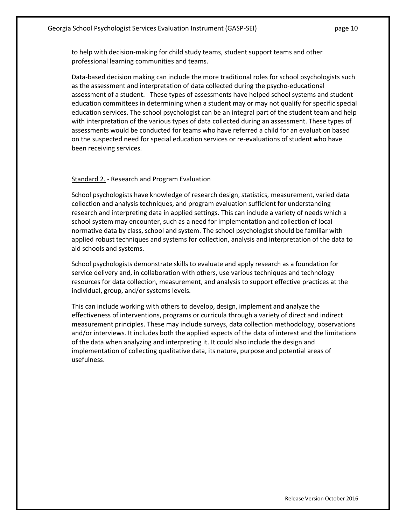to help with decision-making for child study teams, student support teams and other professional learning communities and teams.

Data-based decision making can include the more traditional roles for school psychologists such as the assessment and interpretation of data collected during the psycho-educational assessment of a student. These types of assessments have helped school systems and student education committees in determining when a student may or may not qualify for specific special education services. The school psychologist can be an integral part of the student team and help with interpretation of the various types of data collected during an assessment. These types of assessments would be conducted for teams who have referred a child for an evaluation based on the suspected need for special education services or re-evaluations of student who have been receiving services.

### Standard 2. - Research and Program Evaluation

School psychologists have knowledge of research design, statistics, measurement, varied data collection and analysis techniques, and program evaluation sufficient for understanding research and interpreting data in applied settings. This can include a variety of needs which a school system may encounter, such as a need for implementation and collection of local normative data by class, school and system. The school psychologist should be familiar with applied robust techniques and systems for collection, analysis and interpretation of the data to aid schools and systems.

School psychologists demonstrate skills to evaluate and apply research as a foundation for service delivery and, in collaboration with others, use various techniques and technology resources for data collection, measurement, and analysis to support effective practices at the individual, group, and/or systems levels.

This can include working with others to develop, design, implement and analyze the effectiveness of interventions, programs or curricula through a variety of direct and indirect measurement principles. These may include surveys, data collection methodology, observations and/or interviews. It includes both the applied aspects of the data of interest and the limitations of the data when analyzing and interpreting it. It could also include the design and implementation of collecting qualitative data, its nature, purpose and potential areas of usefulness.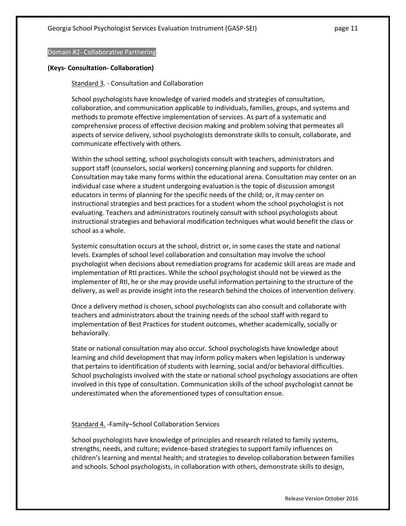### Domain #2- Collaborative Partnering

### **(Keys- Consultation- Collaboration)**

### Standard 3. - Consultation and Collaboration

School psychologists have knowledge of varied models and strategies of consultation, collaboration, and communication applicable to individuals, families, groups, and systems and methods to promote effective implementation of services. As part of a systematic and comprehensive process of effective decision making and problem solving that permeates all aspects of service delivery, school psychologists demonstrate skills to consult, collaborate, and communicate effectively with others.

Within the school setting, school psychologists consult with teachers, administrators and support staff (counselors, social workers) concerning planning and supports for children. Consultation may take many forms within the educational arena. Consultation may center on an individual case where a student undergoing evaluation is the topic of discussion amongst educators in terms of planning for the specific needs of the child; or, it may center on instructional strategies and best practices for a student whom the school psychologist is not evaluating. Teachers and administrators routinely consult with school psychologists about instructional strategies and behavioral modification techniques what would benefit the class or school as a whole.

Systemic consultation occurs at the school, district or, in some cases the state and national levels. Examples of school level collaboration and consultation may involve the school psychologist when decisions about remediation programs for academic skill areas are made and implementation of RtI practices. While the school psychologist should not be viewed as the implementer of RtI, he or she may provide useful information pertaining to the structure of the delivery, as well as provide insight into the research behind the choices of intervention delivery.

Once a delivery method is chosen, school psychologists can also consult and collaborate with teachers and administrators about the training needs of the school staff with regard to implementation of Best Practices for student outcomes, whether academically, socially or behaviorally.

State or national consultation may also occur. School psychologists have knowledge about learning and child development that may inform policy makers when legislation is underway that pertains to identification of students with learning, social and/or behavioral difficulties. School psychologists involved with the state or national school psychology associations are often involved in this type of consultation. Communication skills of the school psychologist cannot be underestimated when the aforementioned types of consultation ensue.

### Standard 4. -Family–School Collaboration Services

School psychologists have knowledge of principles and research related to family systems, strengths, needs, and culture; evidence-based strategies to support family influences on children's learning and mental health; and strategies to develop collaboration between families and schools. School psychologists, in collaboration with others, demonstrate skills to design,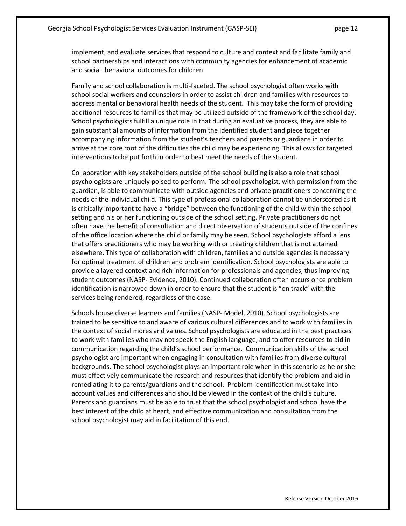implement, and evaluate services that respond to culture and context and facilitate family and school partnerships and interactions with community agencies for enhancement of academic and social–behavioral outcomes for children.

Family and school collaboration is multi-faceted. The school psychologist often works with school social workers and counselors in order to assist children and families with resources to address mental or behavioral health needs of the student. This may take the form of providing additional resources to families that may be utilized outside of the framework of the school day. School psychologists fulfill a unique role in that during an evaluative process, they are able to gain substantial amounts of information from the identified student and piece together accompanying information from the student's teachers and parents or guardians in order to arrive at the core root of the difficulties the child may be experiencing. This allows for targeted interventions to be put forth in order to best meet the needs of the student.

Collaboration with key stakeholders outside of the school building is also a role that school psychologists are uniquely poised to perform. The school psychologist, with permission from the guardian, is able to communicate with outside agencies and private practitioners concerning the needs of the individual child. This type of professional collaboration cannot be underscored as it is critically important to have a "bridge" between the functioning of the child within the school setting and his or her functioning outside of the school setting. Private practitioners do not often have the benefit of consultation and direct observation of students outside of the confines of the office location where the child or family may be seen. School psychologists afford a lens that offers practitioners who may be working with or treating children that is not attained elsewhere. This type of collaboration with children, families and outside agencies is necessary for optimal treatment of children and problem identification. School psychologists are able to provide a layered context and rich information for professionals and agencies, thus improving student outcomes (NASP- Evidence, 2010). Continued collaboration often occurs once problem identification is narrowed down in order to ensure that the student is "on track" with the services being rendered, regardless of the case.

Schools house diverse learners and families (NASP- Model, 2010). School psychologists are trained to be sensitive to and aware of various cultural differences and to work with families in the context of social mores and values. School psychologists are educated in the best practices to work with families who may not speak the English language, and to offer resources to aid in communication regarding the child's school performance. Communication skills of the school psychologist are important when engaging in consultation with families from diverse cultural backgrounds. The school psychologist plays an important role when in this scenario as he or she must effectively communicate the research and resources that identify the problem and aid in remediating it to parents/guardians and the school. Problem identification must take into account values and differences and should be viewed in the context of the child's culture. Parents and guardians must be able to trust that the school psychologist and school have the best interest of the child at heart, and effective communication and consultation from the school psychologist may aid in facilitation of this end.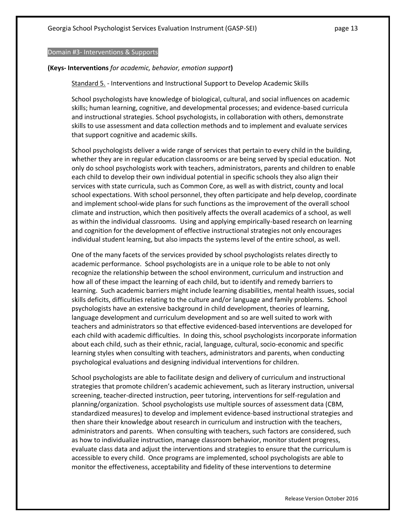Domain #3- Interventions & Supports

#### **(Keys- Interventions** *for academic, behavior, emotion support***)**

Standard 5. - Interventions and Instructional Support to Develop Academic Skills

School psychologists have knowledge of biological, cultural, and social influences on academic skills; human learning, cognitive, and developmental processes; and evidence-based curricula and instructional strategies. School psychologists, in collaboration with others, demonstrate skills to use assessment and data collection methods and to implement and evaluate services that support cognitive and academic skills.

School psychologists deliver a wide range of services that pertain to every child in the building, whether they are in regular education classrooms or are being served by special education. Not only do school psychologists work with teachers, administrators, parents and children to enable each child to develop their own individual potential in specific schools they also align their services with state curricula, such as Common Core, as well as with district, county and local school expectations. With school personnel, they often participate and help develop, coordinate and implement school-wide plans for such functions as the improvement of the overall school climate and instruction, which then positively affects the overall academics of a school, as well as within the individual classrooms. Using and applying empirically-based research on learning and cognition for the development of effective instructional strategies not only encourages individual student learning, but also impacts the systems level of the entire school, as well.

One of the many facets of the services provided by school psychologists relates directly to academic performance. School psychologists are in a unique role to be able to not only recognize the relationship between the school environment, curriculum and instruction and how all of these impact the learning of each child, but to identify and remedy barriers to learning. Such academic barriers might include learning disabilities, mental health issues, social skills deficits, difficulties relating to the culture and/or language and family problems. School psychologists have an extensive background in child development, theories of learning, language development and curriculum development and so are well suited to work with teachers and administrators so that effective evidenced-based interventions are developed for each child with academic difficulties. In doing this, school psychologists incorporate information about each child, such as their ethnic, racial, language, cultural, socio-economic and specific learning styles when consulting with teachers, administrators and parents, when conducting psychological evaluations and designing individual interventions for children.

School psychologists are able to facilitate design and delivery of curriculum and instructional strategies that promote children's academic achievement, such as literary instruction, universal screening, teacher-directed instruction, peer tutoring, interventions for self-regulation and planning/organization. School psychologists use multiple sources of assessment data (CBM, standardized measures) to develop and implement evidence-based instructional strategies and then share their knowledge about research in curriculum and instruction with the teachers, administrators and parents. When consulting with teachers, such factors are considered, such as how to individualize instruction, manage classroom behavior, monitor student progress, evaluate class data and adjust the interventions and strategies to ensure that the curriculum is accessible to every child. Once programs are implemented, school psychologists are able to monitor the effectiveness, acceptability and fidelity of these interventions to determine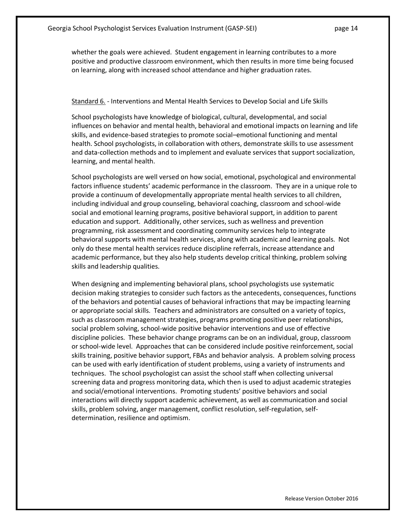whether the goals were achieved. Student engagement in learning contributes to a more positive and productive classroom environment, which then results in more time being focused on learning, along with increased school attendance and higher graduation rates.

### Standard 6. - Interventions and Mental Health Services to Develop Social and Life Skills

School psychologists have knowledge of biological, cultural, developmental, and social influences on behavior and mental health, behavioral and emotional impacts on learning and life skills, and evidence-based strategies to promote social–emotional functioning and mental health. School psychologists, in collaboration with others, demonstrate skills to use assessment and data-collection methods and to implement and evaluate services that support socialization, learning, and mental health.

School psychologists are well versed on how social, emotional, psychological and environmental factors influence students' academic performance in the classroom. They are in a unique role to provide a continuum of developmentally appropriate mental health services to all children, including individual and group counseling, behavioral coaching, classroom and school-wide social and emotional learning programs, positive behavioral support, in addition to parent education and support. Additionally, other services, such as wellness and prevention programming, risk assessment and coordinating community services help to integrate behavioral supports with mental health services, along with academic and learning goals. Not only do these mental health services reduce discipline referrals, increase attendance and academic performance, but they also help students develop critical thinking, problem solving skills and leadership qualities.

When designing and implementing behavioral plans, school psychologists use systematic decision making strategies to consider such factors as the antecedents, consequences, functions of the behaviors and potential causes of behavioral infractions that may be impacting learning or appropriate social skills. Teachers and administrators are consulted on a variety of topics, such as classroom management strategies, programs promoting positive peer relationships, social problem solving, school-wide positive behavior interventions and use of effective discipline policies. These behavior change programs can be on an individual, group, classroom or school-wide level. Approaches that can be considered include positive reinforcement, social skills training, positive behavior support, FBAs and behavior analysis. A problem solving process can be used with early identification of student problems, using a variety of instruments and techniques. The school psychologist can assist the school staff when collecting universal screening data and progress monitoring data, which then is used to adjust academic strategies and social/emotional interventions. Promoting students' positive behaviors and social interactions will directly support academic achievement, as well as communication and social skills, problem solving, anger management, conflict resolution, self-regulation, selfdetermination, resilience and optimism.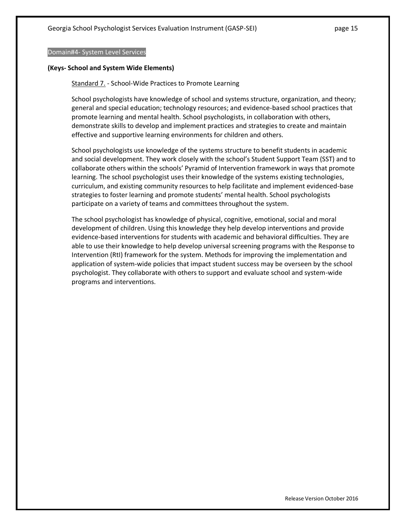#### Domain#4- System Level Services

#### **(Keys- School and System Wide Elements)**

Standard 7. - School-Wide Practices to Promote Learning

School psychologists have knowledge of school and systems structure, organization, and theory; general and special education; technology resources; and evidence-based school practices that promote learning and mental health. School psychologists, in collaboration with others, demonstrate skills to develop and implement practices and strategies to create and maintain effective and supportive learning environments for children and others.

School psychologists use knowledge of the systems structure to benefit students in academic and social development. They work closely with the school's Student Support Team (SST) and to collaborate others within the schools' Pyramid of Intervention framework in ways that promote learning. The school psychologist uses their knowledge of the systems existing technologies, curriculum, and existing community resources to help facilitate and implement evidenced-base strategies to foster learning and promote students' mental health. School psychologists participate on a variety of teams and committees throughout the system.

The school psychologist has knowledge of physical, cognitive, emotional, social and moral development of children. Using this knowledge they help develop interventions and provide evidence-based interventions for students with academic and behavioral difficulties. They are able to use their knowledge to help develop universal screening programs with the Response to Intervention (RtI) framework for the system. Methods for improving the implementation and application of system-wide policies that impact student success may be overseen by the school psychologist. They collaborate with others to support and evaluate school and system-wide programs and interventions.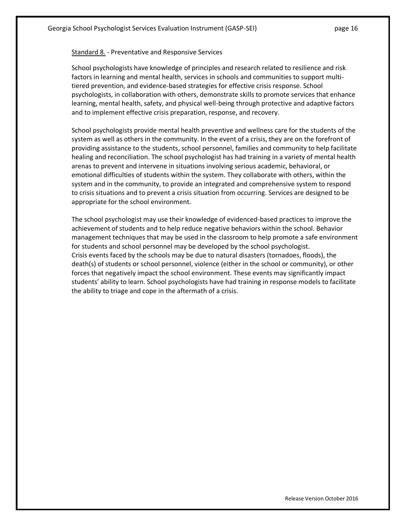### Standard 8. - Preventative and Responsive Services

School psychologists have knowledge of principles and research related to resilience and risk factors in learning and mental health, services in schools and communities to support multitiered prevention, and evidence-based strategies for effective crisis response. School psychologists, in collaboration with others, demonstrate skills to promote services that enhance learning, mental health, safety, and physical well-being through protective and adaptive factors and to implement effective crisis preparation, response, and recovery.

School psychologists provide mental health preventive and wellness care for the students of the system as well as others in the community. In the event of a crisis, they are on the forefront of providing assistance to the students, school personnel, families and community to help facilitate healing and reconciliation. The school psychologist has had training in a variety of mental health arenas to prevent and intervene in situations involving serious academic, behavioral, or emotional difficulties of students within the system. They collaborate with others, within the system and in the community, to provide an integrated and comprehensive system to respond to crisis situations and to prevent a crisis situation from occurring. Services are designed to be appropriate for the school environment.

The school psychologist may use their knowledge of evidenced-based practices to improve the achievement of students and to help reduce negative behaviors within the school. Behavior management techniques that may be used in the classroom to help promote a safe environment for students and school personnel may be developed by the school psychologist. Crisis events faced by the schools may be due to natural disasters (tornadoes, floods), the death(s) of students or school personnel, violence (either in the school or community), or other forces that negatively impact the school environment. These events may significantly impact students' ability to learn. School psychologists have had training in response models to facilitate the ability to triage and cope in the aftermath of a crisis.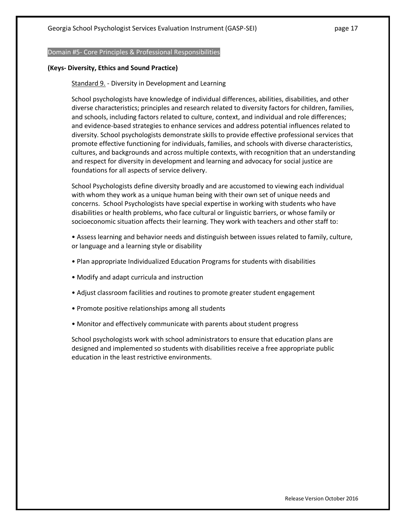#### Domain #5- Core Principles & Professional Responsibilities

### **(Keys- Diversity, Ethics and Sound Practice)**

### Standard 9. - Diversity in Development and Learning

School psychologists have knowledge of individual differences, abilities, disabilities, and other diverse characteristics; principles and research related to diversity factors for children, families, and schools, including factors related to culture, context, and individual and role differences; and evidence-based strategies to enhance services and address potential influences related to diversity. School psychologists demonstrate skills to provide effective professional services that promote effective functioning for individuals, families, and schools with diverse characteristics, cultures, and backgrounds and across multiple contexts, with recognition that an understanding and respect for diversity in development and learning and advocacy for social justice are foundations for all aspects of service delivery.

School Psychologists define diversity broadly and are accustomed to viewing each individual with whom they work as a unique human being with their own set of unique needs and concerns. School Psychologists have special expertise in working with students who have disabilities or health problems, who face cultural or linguistic barriers, or whose family or socioeconomic situation affects their learning. They work with teachers and other staff to:

• Assess learning and behavior needs and distinguish between issues related to family, culture, or language and a learning style or disability

- Plan appropriate Individualized Education Programs for students with disabilities
- Modify and adapt curricula and instruction
- Adjust classroom facilities and routines to promote greater student engagement
- Promote positive relationships among all students
- Monitor and effectively communicate with parents about student progress

School psychologists work with school administrators to ensure that education plans are designed and implemented so students with disabilities receive a free appropriate public education in the least restrictive environments.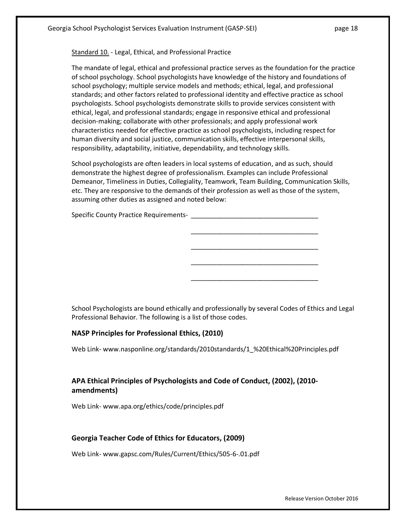Standard 10. - Legal, Ethical, and Professional Practice

The mandate of legal, ethical and professional practice serves as the foundation for the practice of school psychology. School psychologists have knowledge of the history and foundations of school psychology; multiple service models and methods; ethical, legal, and professional standards; and other factors related to professional identity and effective practice as school psychologists. School psychologists demonstrate skills to provide services consistent with ethical, legal, and professional standards; engage in responsive ethical and professional decision-making; collaborate with other professionals; and apply professional work characteristics needed for effective practice as school psychologists, including respect for human diversity and social justice, communication skills, effective interpersonal skills, responsibility, adaptability, initiative, dependability, and technology skills.

School psychologists are often leaders in local systems of education, and as such, should demonstrate the highest degree of professionalism. Examples can include Professional Demeanor, Timeliness in Duties, Collegiality, Teamwork, Team Building, Communication Skills, etc. They are responsive to the demands of their profession as well as those of the system, assuming other duties as assigned and noted below:

\_\_\_\_\_\_\_\_\_\_\_\_\_\_\_\_\_\_\_\_\_\_\_\_\_\_\_\_\_\_\_\_\_\_\_

\_\_\_\_\_\_\_\_\_\_\_\_\_\_\_\_\_\_\_\_\_\_\_\_\_\_\_\_\_\_\_\_\_\_\_

\_\_\_\_\_\_\_\_\_\_\_\_\_\_\_\_\_\_\_\_\_\_\_\_\_\_\_\_\_\_\_\_\_\_\_

\_\_\_\_\_\_\_\_\_\_\_\_\_\_\_\_\_\_\_\_\_\_\_\_\_\_\_\_\_\_\_\_\_\_\_

Specific County Practice Requirements-

School Psychologists are bound ethically and professionally by several Codes of Ethics and Legal Professional Behavior. The following is a list of those codes.

### **NASP Principles for Professional Ethics, (2010)**

Web Link- www.nasponline.org/standards/2010standards/1\_%20Ethical%20Principles.pdf

## **APA Ethical Principles of Psychologists and Code of Conduct, (2002), (2010 amendments)**

Web Link- www.apa.org/ethics/code/principles.pdf

### **Georgia Teacher Code of Ethics for Educators, (2009)**

Web Link- www.gapsc.com/Rules/Current/Ethics/505-6-.01.pdf

Release Version October 2016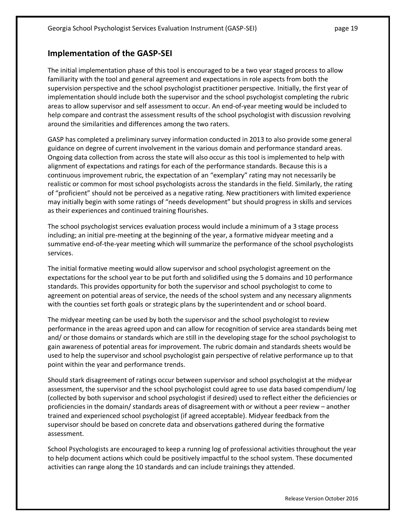## **Implementation of the GASP-SEI**

The initial implementation phase of this tool is encouraged to be a two year staged process to allow familiarity with the tool and general agreement and expectations in role aspects from both the supervision perspective and the school psychologist practitioner perspective. Initially, the first year of implementation should include both the supervisor and the school psychologist completing the rubric areas to allow supervisor and self assessment to occur. An end-of-year meeting would be included to help compare and contrast the assessment results of the school psychologist with discussion revolving around the similarities and differences among the two raters.

GASP has completed a preliminary survey information conducted in 2013 to also provide some general guidance on degree of current involvement in the various domain and performance standard areas. Ongoing data collection from across the state will also occur as this tool is implemented to help with alignment of expectations and ratings for each of the performance standards. Because this is a continuous improvement rubric, the expectation of an "exemplary" rating may not necessarily be realistic or common for most school psychologists across the standards in the field. Similarly, the rating of "proficient" should not be perceived as a negative rating. New practitioners with limited experience may initially begin with some ratings of "needs development" but should progress in skills and services as their experiences and continued training flourishes.

The school psychologist services evaluation process would include a minimum of a 3 stage process including; an initial pre-meeting at the beginning of the year, a formative midyear meeting and a summative end-of-the-year meeting which will summarize the performance of the school psychologists services.

The initial formative meeting would allow supervisor and school psychologist agreement on the expectations for the school year to be put forth and solidified using the 5 domains and 10 performance standards. This provides opportunity for both the supervisor and school psychologist to come to agreement on potential areas of service, the needs of the school system and any necessary alignments with the counties set forth goals or strategic plans by the superintendent and or school board.

The midyear meeting can be used by both the supervisor and the school psychologist to review performance in the areas agreed upon and can allow for recognition of service area standards being met and/ or those domains or standards which are still in the developing stage for the school psychologist to gain awareness of potential areas for improvement. The rubric domain and standards sheets would be used to help the supervisor and school psychologist gain perspective of relative performance up to that point within the year and performance trends.

Should stark disagreement of ratings occur between supervisor and school psychologist at the midyear assessment, the supervisor and the school psychologist could agree to use data based compendium/ log (collected by both supervisor and school psychologist if desired) used to reflect either the deficiencies or proficiencies in the domain/ standards areas of disagreement with or without a peer review – another trained and experienced school psychologist (if agreed acceptable). Midyear feedback from the supervisor should be based on concrete data and observations gathered during the formative assessment.

School Psychologists are encouraged to keep a running log of professional activities throughout the year to help document actions which could be positively impactful to the school system. These documented activities can range along the 10 standards and can include trainings they attended.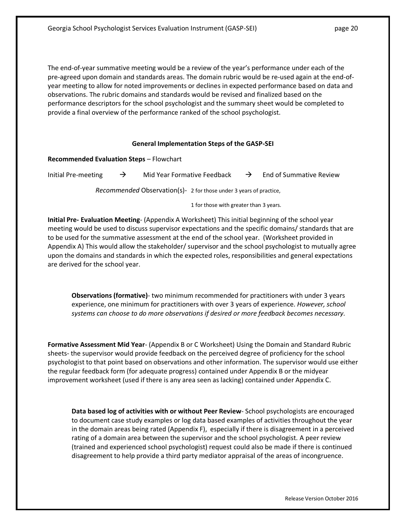The end-of-year summative meeting would be a review of the year's performance under each of the pre-agreed upon domain and standards areas. The domain rubric would be re-used again at the end-ofyear meeting to allow for noted improvements or declines in expected performance based on data and observations. The rubric domains and standards would be revised and finalized based on the performance descriptors for the school psychologist and the summary sheet would be completed to provide a final overview of the performance ranked of the school psychologist.

### **General Implementation Steps of the GASP-SEI**

| <b>Recommended Evaluation Steps - Flowchart</b> |  |  |  |
|-------------------------------------------------|--|--|--|
|-------------------------------------------------|--|--|--|

Initial Pre-meeting  $\rightarrow$  Mid Year Formative Feedback  $\rightarrow$  End of Summative Review

*Recommended* Observation(s)- 2 for those under 3 years of practice,

1 for those with greater than 3 years.

**Initial Pre- Evaluation Meeting**- (Appendix A Worksheet) This initial beginning of the school year meeting would be used to discuss supervisor expectations and the specific domains/ standards that are to be used for the summative assessment at the end of the school year. (Worksheet provided in Appendix A) This would allow the stakeholder/ supervisor and the school psychologist to mutually agree upon the domains and standards in which the expected roles, responsibilities and general expectations are derived for the school year.

**Observations (formative)**- two minimum recommended for practitioners with under 3 years experience, one minimum for practitioners with over 3 years of experience. *However, school systems can choose to do more observations if desired or more feedback becomes necessary.*

**Formative Assessment Mid Year**- (Appendix B or C Worksheet) Using the Domain and Standard Rubric sheets- the supervisor would provide feedback on the perceived degree of proficiency for the school psychologist to that point based on observations and other information. The supervisor would use either the regular feedback form (for adequate progress) contained under Appendix B or the midyear improvement worksheet (used if there is any area seen as lacking) contained under Appendix C.

**Data based log of activities with or without Peer Review**- School psychologists are encouraged to document case study examples or log data based examples of activities throughout the year in the domain areas being rated (Appendix F), especially if there is disagreement in a perceived rating of a domain area between the supervisor and the school psychologist. A peer review (trained and experienced school psychologist) request could also be made if there is continued disagreement to help provide a third party mediator appraisal of the areas of incongruence.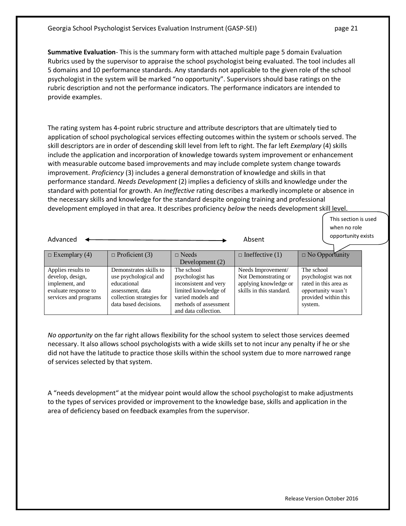**Summative Evaluation**- This is the summary form with attached multiple page 5 domain Evaluation Rubrics used by the supervisor to appraise the school psychologist being evaluated. The tool includes all 5 domains and 10 performance standards. Any standards not applicable to the given role of the school psychologist in the system will be marked "no opportunity". Supervisors should base ratings on the rubric description and not the performance indicators. The performance indicators are intended to provide examples.

The rating system has 4-point rubric structure and attribute descriptors that are ultimately tied to application of school psychological services effecting outcomes within the system or schools served. The skill descriptors are in order of descending skill level from left to right. The far left *Exemplary* (4) skills include the application and incorporation of knowledge towards system improvement or enhancement with measurable outcome based improvements and may include complete system change towards improvement. *Proficiency* (3) includes a general demonstration of knowledge and skills in that performance standard. *Needs Development* (2) implies a deficiency of skills and knowledge under the standard with potential for growth. An *Ineffective* rating describes a markedly incomplete or absence in the necessary skills and knowledge for the standard despite ongoing training and professional development employed in that area. It describes proficiency *below* the needs development skill level.

> This section is used when no role opportunity exists

| Advanced                                                                                                  |                                                                                                                                          | Absent                                                                                                                                                | opportunity exists                                                                              |                                                                                                                      |
|-----------------------------------------------------------------------------------------------------------|------------------------------------------------------------------------------------------------------------------------------------------|-------------------------------------------------------------------------------------------------------------------------------------------------------|-------------------------------------------------------------------------------------------------|----------------------------------------------------------------------------------------------------------------------|
| $\Box$ Exemplary (4)                                                                                      | $\Box$ Proficient (3)                                                                                                                    | $\Box$ Needs<br>Development (2)                                                                                                                       | $\Box$ Ineffective (1)                                                                          | $\Box$ No Opportunity                                                                                                |
| Applies results to<br>develop, design,<br>implement, and<br>evaluate response to<br>services and programs | Demonstrates skills to<br>use psychological and<br>educational<br>assessment, data<br>collection strategies for<br>data based decisions. | The school<br>psychologist has<br>inconsistent and very<br>limited knowledge of<br>varied models and<br>methods of assessment<br>and data collection. | Needs Improvement/<br>Not Demonstrating or<br>applying knowledge or<br>skills in this standard. | The school<br>psychologist was not<br>rated in this area as<br>opportunity wasn't<br>provided within this<br>system. |

*No opportunity* on the far right allows flexibility for the school system to select those services deemed necessary. It also allows school psychologists with a wide skills set to not incur any penalty if he or she did not have the latitude to practice those skills within the school system due to more narrowed range of services selected by that system.

A "needs development" at the midyear point would allow the school psychologist to make adjustments to the types of services provided or improvement to the knowledge base, skills and application in the area of deficiency based on feedback examples from the supervisor.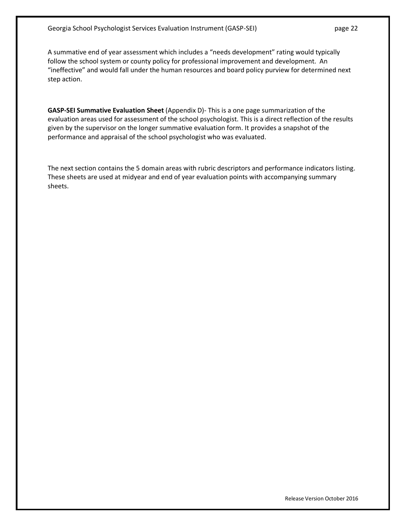A summative end of year assessment which includes a "needs development" rating would typically follow the school system or county policy for professional improvement and development. An "ineffective" and would fall under the human resources and board policy purview for determined next step action.

**GASP-SEI Summative Evaluation Sheet** (Appendix D)- This is a one page summarization of the evaluation areas used for assessment of the school psychologist. This is a direct reflection of the results given by the supervisor on the longer summative evaluation form. It provides a snapshot of the performance and appraisal of the school psychologist who was evaluated.

The next section contains the 5 domain areas with rubric descriptors and performance indicators listing. These sheets are used at midyear and end of year evaluation points with accompanying summary sheets.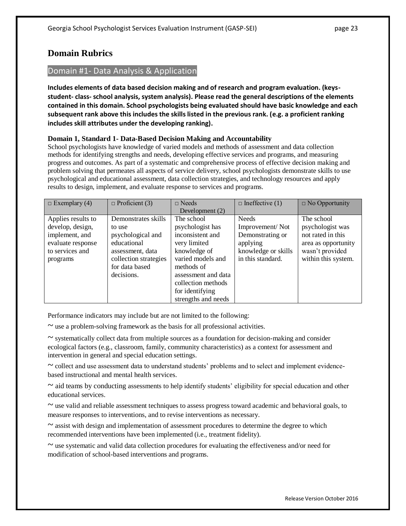## **Domain Rubrics**

## Domain #1- Data Analysis & Application

**Includes elements of data based decision making and of research and program evaluation. (keysstudent- class- school analysis, system analysis). Please read the general descriptions of the elements contained in this domain. School psychologists being evaluated should have basic knowledge and each subsequent rank above this includes the skills listed in the previous rank. (e.g. a proficient ranking includes skill attributes under the developing ranking).**

## **Domain 1, Standard 1- Data-Based Decision Making and Accountability**

School psychologists have knowledge of varied models and methods of assessment and data collection methods for identifying strengths and needs, developing effective services and programs, and measuring progress and outcomes. As part of a systematic and comprehensive process of effective decision making and problem solving that permeates all aspects of service delivery, school psychologists demonstrate skills to use psychological and educational assessment, data collection strategies, and technology resources and apply results to design, implement, and evaluate response to services and programs.

| $\Box$ Exemplary (4) | $\Box$ Proficient (3) | $\Box$ Needs        | $\Box$ Ineffective (1) | $\Box$ No Opportunity |
|----------------------|-----------------------|---------------------|------------------------|-----------------------|
|                      |                       | Development (2)     |                        |                       |
| Applies results to   | Demonstrates skills   | The school          | <b>Needs</b>           | The school            |
| develop, design,     | to use                | psychologist has    | Improvement/Not        | psychologist was      |
| implement, and       | psychological and     | inconsistent and    | Demonstrating or       | not rated in this     |
| evaluate response    | educational           | very limited        | applying               | area as opportunity   |
| to services and      | assessment, data      | knowledge of        | knowledge or skills    | wasn't provided       |
| programs             | collection strategies | varied models and   | in this standard.      | within this system.   |
|                      | for data based        | methods of          |                        |                       |
|                      | decisions.            | assessment and data |                        |                       |
|                      |                       | collection methods  |                        |                       |
|                      |                       | for identifying     |                        |                       |
|                      |                       | strengths and needs |                        |                       |

Performance indicators may include but are not limited to the following:

 $\sim$  use a problem-solving framework as the basis for all professional activities.

 $\sim$  systematically collect data from multiple sources as a foundation for decision-making and consider ecological factors (e.g., classroom, family, community characteristics) as a context for assessment and intervention in general and special education settings.

 $\sim$  collect and use assessment data to understand students' problems and to select and implement evidencebased instructional and mental health services.

 $\sim$  aid teams by conducting assessments to help identify students' eligibility for special education and other educational services.

 $\sim$  use valid and reliable assessment techniques to assess progress toward academic and behavioral goals, to measure responses to interventions, and to revise interventions as necessary.

 $\sim$  assist with design and implementation of assessment procedures to determine the degree to which recommended interventions have been implemented (i.e., treatment fidelity).

 $\sim$  use systematic and valid data collection procedures for evaluating the effectiveness and/or need for modification of school-based interventions and programs.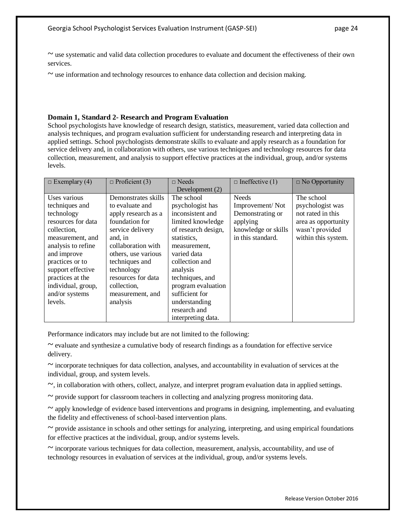~ use systematic and valid data collection procedures to evaluate and document the effectiveness of their own services.

 $\sim$  use information and technology resources to enhance data collection and decision making.

### **Domain 1, Standard 2- Research and Program Evaluation**

School psychologists have knowledge of research design, statistics, measurement, varied data collection and analysis techniques, and program evaluation sufficient for understanding research and interpreting data in applied settings. School psychologists demonstrate skills to evaluate and apply research as a foundation for service delivery and, in collaboration with others, use various techniques and technology resources for data collection, measurement, and analysis to support effective practices at the individual, group, and/or systems levels.

| $\Box$ Exemplary (4) | $\Box$ Proficient (3) | $\sqcap$ Needs      | $\Box$ Ineffective (1) | $\Box$ No Opportunity |
|----------------------|-----------------------|---------------------|------------------------|-----------------------|
|                      |                       | Development (2)     |                        |                       |
| Uses various         | Demonstrates skills   | The school          | <b>Needs</b>           | The school            |
| techniques and       | to evaluate and       | psychologist has    | Improvement/Not        | psychologist was      |
| technology           | apply research as a   | inconsistent and    | Demonstrating or       | not rated in this     |
| resources for data   | foundation for        | limited knowledge   | applying               | area as opportunity   |
| collection,          | service delivery      | of research design, | knowledge or skills    | wasn't provided       |
| measurement, and     | and, in               | statistics,         | in this standard.      | within this system.   |
| analysis to refine   | collaboration with    | measurement,        |                        |                       |
| and improve          | others, use various   | varied data         |                        |                       |
| practices or to      | techniques and        | collection and      |                        |                       |
| support effective    | technology            | analysis            |                        |                       |
| practices at the     | resources for data    | techniques, and     |                        |                       |
| individual, group,   | collection.           | program evaluation  |                        |                       |
| and/or systems       | measurement, and      | sufficient for      |                        |                       |
| levels.              | analysis              | understanding       |                        |                       |
|                      |                       | research and        |                        |                       |
|                      |                       | interpreting data.  |                        |                       |

Performance indicators may include but are not limited to the following:

 $\sim$  evaluate and synthesize a cumulative body of research findings as a foundation for effective service delivery.

 $\sim$  incorporate techniques for data collection, analyses, and accountability in evaluation of services at the individual, group, and system levels.

 $\sim$ , in collaboration with others, collect, analyze, and interpret program evaluation data in applied settings.

 $\sim$  provide support for classroom teachers in collecting and analyzing progress monitoring data.

 $\sim$  apply knowledge of evidence based interventions and programs in designing, implementing, and evaluating the fidelity and effectiveness of school-based intervention plans.

 $\sim$  provide assistance in schools and other settings for analyzing, interpreting, and using empirical foundations for effective practices at the individual, group, and/or systems levels.

 $\sim$  incorporate various techniques for data collection, measurement, analysis, accountability, and use of technology resources in evaluation of services at the individual, group, and/or systems levels.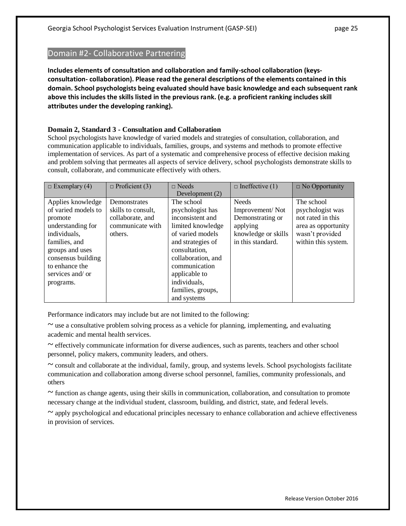## Domain #2- Collaborative Partnering

**Includes elements of consultation and collaboration and family-school collaboration (keysconsultation- collaboration). Please read the general descriptions of the elements contained in this domain. School psychologists being evaluated should have basic knowledge and each subsequent rank above this includes the skills listed in the previous rank. (e.g. a proficient ranking includes skill attributes under the developing ranking).**

## **Domain 2, Standard 3 - Consultation and Collaboration**

School psychologists have knowledge of varied models and strategies of consultation, collaboration, and communication applicable to individuals, families, groups, and systems and methods to promote effective implementation of services. As part of a systematic and comprehensive process of effective decision making and problem solving that permeates all aspects of service delivery, school psychologists demonstrate skills to consult, collaborate, and communicate effectively with others.

| $\Box$ Exemplary (4) | $\Box$ Proficient (3) | $\Box$ Needs       | $\Box$ Ineffective (1) | $\Box$ No Opportunity |
|----------------------|-----------------------|--------------------|------------------------|-----------------------|
|                      |                       | Development (2)    |                        |                       |
| Applies knowledge    | Demonstrates          | The school         | <b>Needs</b>           | The school            |
| of varied models to  | skills to consult.    | psychologist has   | Improvement/Not        | psychologist was      |
| promote              | collaborate, and      | inconsistent and   | Demonstrating or       | not rated in this     |
| understanding for    | communicate with      | limited knowledge  | applying               | area as opportunity   |
| individuals,         | others.               | of varied models   | knowledge or skills    | wasn't provided       |
| families, and        |                       | and strategies of  | in this standard.      | within this system.   |
| groups and uses      |                       | consultation.      |                        |                       |
| consensus building   |                       | collaboration, and |                        |                       |
| to enhance the       |                       | communication      |                        |                       |
| services and/ or     |                       | applicable to      |                        |                       |
| programs.            |                       | individuals,       |                        |                       |
|                      |                       | families, groups,  |                        |                       |
|                      |                       | and systems        |                        |                       |

Performance indicators may include but are not limited to the following:

 $\sim$  use a consultative problem solving process as a vehicle for planning, implementing, and evaluating academic and mental health services.

 $\sim$  effectively communicate information for diverse audiences, such as parents, teachers and other school personnel, policy makers, community leaders, and others.

 $\sim$  consult and collaborate at the individual, family, group, and systems levels. School psychologists facilitate communication and collaboration among diverse school personnel, families, community professionals, and others

 $\sim$  function as change agents, using their skills in communication, collaboration, and consultation to promote necessary change at the individual student, classroom, building, and district, state, and federal levels.

~ apply psychological and educational principles necessary to enhance collaboration and achieve effectiveness in provision of services.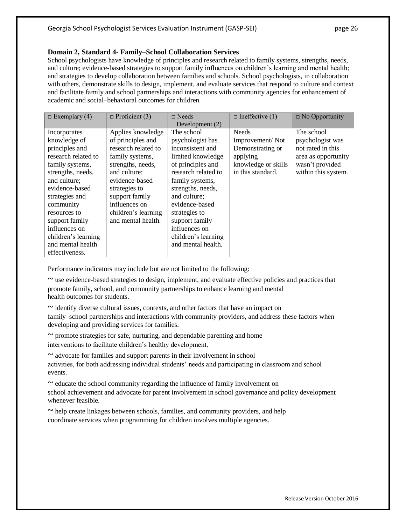### **Domain 2, Standard 4- Family–School Collaboration Services**

School psychologists have knowledge of principles and research related to family systems, strengths, needs, and culture; evidence-based strategies to support family influences on children's learning and mental health; and strategies to develop collaboration between families and schools. School psychologists, in collaboration with others, demonstrate skills to design, implement, and evaluate services that respond to culture and context and facilitate family and school partnerships and interactions with community agencies for enhancement of academic and social–behavioral outcomes for children.

| $\Box$ Exemplary (4) | $\Box$ Proficient (3) | $\Box$ Needs        | $\Box$ Ineffective (1) | $\Box$ No Opportunity |
|----------------------|-----------------------|---------------------|------------------------|-----------------------|
|                      |                       | Development $(2)$   |                        |                       |
| Incorporates         | Applies knowledge     | The school          | <b>Needs</b>           | The school            |
| knowledge of         | of principles and     | psychologist has    | Improvement/Not        | psychologist was      |
| principles and       | research related to   | inconsistent and    | Demonstrating or       | not rated in this     |
| research related to  | family systems,       | limited knowledge   | applying               | area as opportunity   |
| family systems,      | strengths, needs,     | of principles and   | knowledge or skills    | wasn't provided       |
| strengths, needs,    | and culture;          | research related to | in this standard.      | within this system.   |
| and culture;         | evidence-based        | family systems,     |                        |                       |
| evidence-based       | strategies to         | strengths, needs,   |                        |                       |
| strategies and       | support family        | and culture;        |                        |                       |
| community            | influences on         | evidence-based      |                        |                       |
| resources to         | children's learning   | strategies to       |                        |                       |
| support family       | and mental health.    | support family      |                        |                       |
| influences on        |                       | influences on       |                        |                       |
| children's learning  |                       | children's learning |                        |                       |
| and mental health    |                       | and mental health.  |                        |                       |
| effectiveness.       |                       |                     |                        |                       |

Performance indicators may include but are not limited to the following:

 $\sim$  use evidence-based strategies to design, implement, and evaluate effective policies and practices that promote family, school, and community partnerships to enhance learning and mental health outcomes for students.

 $\sim$  identify diverse cultural issues, contexts, and other factors that have an impact on

family–school partnerships and interactions with community providers, and address these factors when developing and providing services for families.

 $\sim$  promote strategies for safe, nurturing, and dependable parenting and home interventions to facilitate children's healthy development.

 $\sim$  advocate for families and support parents in their involvement in school activities, for both addressing individual students' needs and participating in classroom and school events.

 $\sim$  educate the school community regarding the influence of family involvement on school achievement and advocate for parent involvement in school governance and policy development whenever feasible.

 $\sim$  help create linkages between schools, families, and community providers, and help coordinate services when programming for children involves multiple agencies.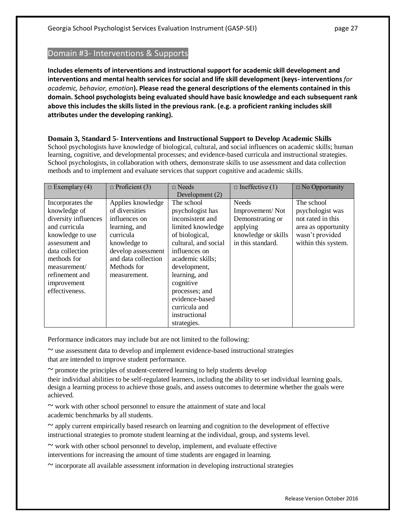## Domain #3- Interventions & Supports

**Includes elements of interventions and instructional support for academic skill development and interventions and mental health services for social and life skill development (keys- interventions** *for academic, behavior, emotion***). Please read the general descriptions of the elements contained in this domain. School psychologists being evaluated should have basic knowledge and each subsequent rank above this includes the skills listed in the previous rank. (e.g. a proficient ranking includes skill attributes under the developing ranking).**

## **Domain 3, Standard 5- Interventions and Instructional Support to Develop Academic Skills**

School psychologists have knowledge of biological, cultural, and social influences on academic skills; human learning, cognitive, and developmental processes; and evidence-based curricula and instructional strategies. School psychologists, in collaboration with others, demonstrate skills to use assessment and data collection methods and to implement and evaluate services that support cognitive and academic skills.

| $\Box$ Exemplary (4) | $\Box$ Proficient (3) | $\sqcap$ Needs       | $\Box$ Ineffective (1) | $\Box$ No Opportunity |
|----------------------|-----------------------|----------------------|------------------------|-----------------------|
|                      |                       | Development $(2)$    |                        |                       |
| Incorporates the     | Applies knowledge     | The school           | <b>Needs</b>           | The school            |
| knowledge of         | of diversities        | psychologist has     | Improvement/Not        | psychologist was      |
| diversity influences | influences on         | inconsistent and     | Demonstrating or       | not rated in this     |
| and curricula        | learning, and         | limited knowledge    | applying               | area as opportunity   |
| knowledge to use     | curricula             | of biological,       | knowledge or skills    | wasn't provided       |
| assessment and       | knowledge to          | cultural, and social | in this standard.      | within this system.   |
| data collection      | develop assessment    | influences on        |                        |                       |
| methods for          | and data collection   | academic skills;     |                        |                       |
| measurement/         | Methods for           | development,         |                        |                       |
| refinement and       | measurement.          | learning, and        |                        |                       |
| improvement          |                       | cognitive            |                        |                       |
| effectiveness.       |                       | processes; and       |                        |                       |
|                      |                       | evidence-based       |                        |                       |
|                      |                       | curricula and        |                        |                       |
|                      |                       | instructional        |                        |                       |
|                      |                       | strategies.          |                        |                       |

Performance indicators may include but are not limited to the following:

 $\sim$  use assessment data to develop and implement evidence-based instructional strategies that are intended to improve student performance.

 $\sim$  promote the principles of student-centered learning to help students develop

their individual abilities to be self-regulated learners, including the ability to set individual learning goals, design a learning process to achieve those goals, and assess outcomes to determine whether the goals were achieved.

 $\sim$  work with other school personnel to ensure the attainment of state and local academic benchmarks by all students.

 $\sim$  apply current empirically based research on learning and cognition to the development of effective instructional strategies to promote student learning at the individual, group, and systems level.

 $\sim$  work with other school personnel to develop, implement, and evaluate effective interventions for increasing the amount of time students are engaged in learning.

 $\sim$  incorporate all available assessment information in developing instructional strategies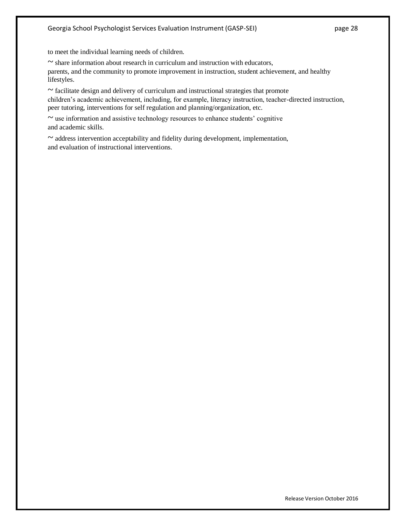to meet the individual learning needs of children.

 $\sim$  share information about research in curriculum and instruction with educators, parents, and the community to promote improvement in instruction, student achievement, and healthy lifestyles.

 $\sim$  facilitate design and delivery of curriculum and instructional strategies that promote children's academic achievement, including, for example, literacy instruction, teacher-directed instruction, peer tutoring, interventions for self regulation and planning/organization, etc.

 $\sim$  use information and assistive technology resources to enhance students' cognitive and academic skills.

 $\sim$  address intervention acceptability and fidelity during development, implementation, and evaluation of instructional interventions.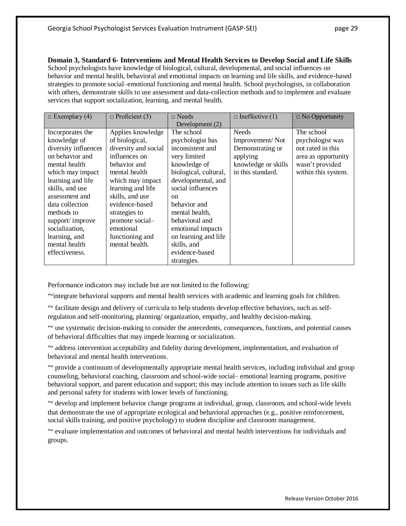**Domain 3, Standard 6- Interventions and Mental Health Services to Develop Social and Life Skills** School psychologists have knowledge of biological, cultural, developmental, and social influences on behavior and mental health, behavioral and emotional impacts on learning and life skills, and evidence-based strategies to promote social–emotional functioning and mental health. School psychologists, in collaboration with others, demonstrate skills to use assessment and data-collection methods and to implement and evaluate services that support socialization, learning, and mental health.

| $\Box$ Exemplary (4) | $\Box$ Proficient (3) | $\Box$ Needs          | $\Box$ Ineffective (1) | $\Box$ No Opportunity |
|----------------------|-----------------------|-----------------------|------------------------|-----------------------|
|                      |                       | Development (2)       |                        |                       |
| Incorporates the     | Applies knowledge     | The school            | <b>Needs</b>           | The school            |
| knowledge of         | of biological,        | psychologist has      | Improvement/Not        | psychologist was      |
| diversity influences | diversity and social  | inconsistent and      | Demonstrating or       | not rated in this     |
| on behavior and      | influences on         | very limited          | applying               | area as opportunity   |
| mental health        | behavior and          | knowledge of          | knowledge or skills    | wasn't provided       |
| which may impact     | mental health         | biological, cultural, | in this standard.      | within this system.   |
| learning and life    | which may impact      | developmental, and    |                        |                       |
| skills, and use      | learning and life     | social influences     |                        |                       |
| assessment and       | skills, and use       | <sub>on</sub>         |                        |                       |
| data collection      | evidence-based        | behavior and          |                        |                       |
| methods to           | strategies to         | mental health,        |                        |                       |
| support/improve      | promote social-       | behavioral and        |                        |                       |
| socialization,       | emotional             | emotional impacts     |                        |                       |
| learning, and        | functioning and       | on learning and life  |                        |                       |
| mental health        | mental health.        | skills, and           |                        |                       |
| effectiveness.       |                       | evidence-based        |                        |                       |
|                      |                       | strategies.           |                        |                       |

Performance indicators may include but are not limited to the following:

~integrate behavioral supports and mental health services with academic and learning goals for children.

 $\sim$  facilitate design and delivery of curricula to help students develop effective behaviors, such as selfregulation and self-monitoring, planning/ organization, empathy, and healthy decision-making.

 $\sim$  use systematic decision-making to consider the antecedents, consequences, functions, and potential causes of behavioral difficulties that may impede learning or socialization.

 $\sim$  address intervention acceptability and fidelity during development, implementation, and evaluation of behavioral and mental health interventions.

 $\sim$  provide a continuum of developmentally appropriate mental health services, including individual and group counseling, behavioral coaching, classroom and school-wide social– emotional learning programs, positive behavioral support, and parent education and support; this may include attention to issues such as life skills and personal safety for students with lower levels of functioning.

 $\sim$  develop and implement behavior change programs at individual, group, classroom, and school-wide levels that demonstrate the use of appropriate ecological and behavioral approaches (e.g., positive reinforcement, social skills training, and positive psychology) to student discipline and classroom management.

 $\sim$  evaluate implementation and outcomes of behavioral and mental health interventions for individuals and groups.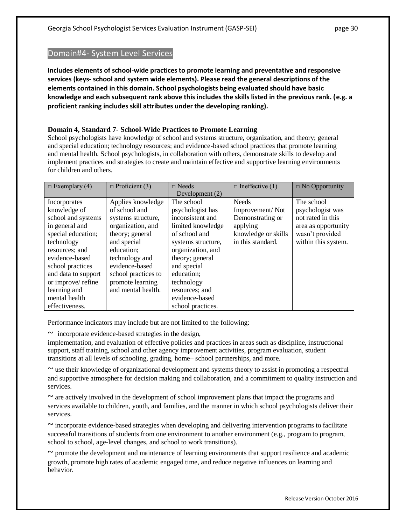## Domain#4- System Level Services

**Includes elements of school-wide practices to promote learning and preventative and responsive services (keys- school and system wide elements). Please read the general descriptions of the elements contained in this domain. School psychologists being evaluated should have basic knowledge and each subsequent rank above this includes the skills listed in the previous rank. (e.g. a proficient ranking includes skill attributes under the developing ranking).**

## **Domain 4, Standard 7- School-Wide Practices to Promote Learning**

School psychologists have knowledge of school and systems structure, organization, and theory; general and special education; technology resources; and evidence-based school practices that promote learning and mental health. School psychologists, in collaboration with others, demonstrate skills to develop and implement practices and strategies to create and maintain effective and supportive learning environments for children and others.

| $\Box$ Exemplary (4) | $\Box$ Proficient (3) | $\Box$ Needs       | $\Box$ Ineffective (1) | $\Box$ No Opportunity |
|----------------------|-----------------------|--------------------|------------------------|-----------------------|
|                      |                       | Development (2)    |                        |                       |
| Incorporates         | Applies knowledge     | The school         | <b>Needs</b>           | The school            |
| knowledge of         | of school and         | psychologist has   | Improvement/Not        | psychologist was      |
| school and systems   | systems structure,    | inconsistent and   | Demonstrating or       | not rated in this     |
| in general and       | organization, and     | limited knowledge  | applying               | area as opportunity   |
| special education;   | theory; general       | of school and      | knowledge or skills    | wasn't provided       |
| technology           | and special           | systems structure, | in this standard.      | within this system.   |
| resources; and       | education:            | organization, and  |                        |                       |
| evidence-based       | technology and        | theory; general    |                        |                       |
| school practices     | evidence-based        | and special        |                        |                       |
| and data to support  | school practices to   | education;         |                        |                       |
| or improve/ refine   | promote learning      | technology         |                        |                       |
| learning and         | and mental health.    | resources; and     |                        |                       |
| mental health        |                       | evidence-based     |                        |                       |
| effectiveness.       |                       | school practices.  |                        |                       |

Performance indicators may include but are not limited to the following:

 $\sim$  incorporate evidence-based strategies in the design,

implementation, and evaluation of effective policies and practices in areas such as discipline, instructional support, staff training, school and other agency improvement activities, program evaluation, student transitions at all levels of schooling, grading, home– school partnerships, and more.

 $\sim$  use their knowledge of organizational development and systems theory to assist in promoting a respectful and supportive atmosphere for decision making and collaboration, and a commitment to quality instruction and services.

 $\sim$  are actively involved in the development of school improvement plans that impact the programs and services available to children, youth, and families, and the manner in which school psychologists deliver their services.

 $\sim$  incorporate evidence-based strategies when developing and delivering intervention programs to facilitate successful transitions of students from one environment to another environment (e.g., program to program, school to school, age-level changes, and school to work transitions).

 $\sim$  promote the development and maintenance of learning environments that support resilience and academic growth, promote high rates of academic engaged time, and reduce negative influences on learning and behavior.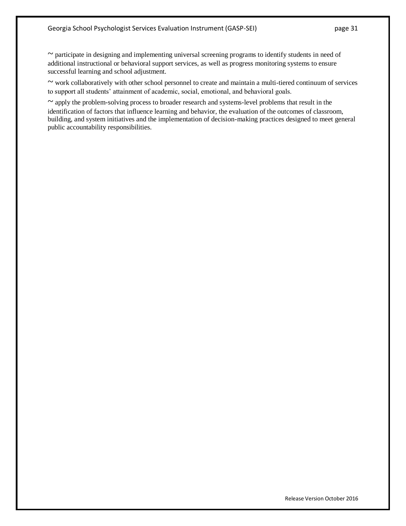~ participate in designing and implementing universal screening programs to identify students in need of additional instructional or behavioral support services, as well as progress monitoring systems to ensure successful learning and school adjustment.

~ work collaboratively with other school personnel to create and maintain a multi-tiered continuum of services to support all students' attainment of academic, social, emotional, and behavioral goals.

 $\sim$  apply the problem-solving process to broader research and systems-level problems that result in the identification of factors that influence learning and behavior, the evaluation of the outcomes of classroom, building, and system initiatives and the implementation of decision-making practices designed to meet general public accountability responsibilities.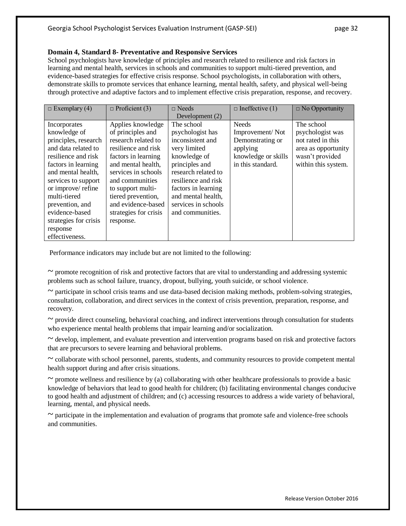### **Domain 4, Standard 8- Preventative and Responsive Services**

School psychologists have knowledge of principles and research related to resilience and risk factors in learning and mental health, services in schools and communities to support multi-tiered prevention, and evidence-based strategies for effective crisis response. School psychologists, in collaboration with others, demonstrate skills to promote services that enhance learning, mental health, safety, and physical well-being through protective and adaptive factors and to implement effective crisis preparation, response, and recovery.

| $\Box$ Exemplary (4)  | $\Box$ Proficient (3) | $\Box$ Needs        | $\Box$ Ineffective (1) | $\Box$ No Opportunity |
|-----------------------|-----------------------|---------------------|------------------------|-----------------------|
|                       |                       | Development $(2)$   |                        |                       |
| Incorporates          | Applies knowledge     | The school          | <b>Needs</b>           | The school            |
| knowledge of          | of principles and     | psychologist has    | Improvement/Not        | psychologist was      |
| principles, research  | research related to   | inconsistent and    | Demonstrating or       | not rated in this     |
| and data related to   | resilience and risk   | very limited        | applying               | area as opportunity   |
| resilience and risk   | factors in learning   | knowledge of        | knowledge or skills    | wasn't provided       |
| factors in learning   | and mental health,    | principles and      | in this standard.      | within this system.   |
| and mental health.    | services in schools   | research related to |                        |                       |
| services to support   | and communities       | resilience and risk |                        |                       |
| or improve/refine     | to support multi-     | factors in learning |                        |                       |
| multi-tiered          | tiered prevention,    | and mental health,  |                        |                       |
| prevention, and       | and evidence-based    | services in schools |                        |                       |
| evidence-based        | strategies for crisis | and communities.    |                        |                       |
| strategies for crisis | response.             |                     |                        |                       |
| response              |                       |                     |                        |                       |
| effectiveness.        |                       |                     |                        |                       |

Performance indicators may include but are not limited to the following:

 $\sim$  promote recognition of risk and protective factors that are vital to understanding and addressing systemic problems such as school failure, truancy, dropout, bullying, youth suicide, or school violence.

 $\sim$  participate in school crisis teams and use data-based decision making methods, problem-solving strategies, consultation, collaboration, and direct services in the context of crisis prevention, preparation, response, and recovery.

 $\sim$  provide direct counseling, behavioral coaching, and indirect interventions through consultation for students who experience mental health problems that impair learning and/or socialization.

 $\sim$  develop, implement, and evaluate prevention and intervention programs based on risk and protective factors that are precursors to severe learning and behavioral problems.

 $\sim$  collaborate with school personnel, parents, students, and community resources to provide competent mental health support during and after crisis situations.

 $\sim$  promote wellness and resilience by (a) collaborating with other healthcare professionals to provide a basic knowledge of behaviors that lead to good health for children; (b) facilitating environmental changes conducive to good health and adjustment of children; and (c) accessing resources to address a wide variety of behavioral, learning, mental, and physical needs.

 $\sim$  participate in the implementation and evaluation of programs that promote safe and violence-free schools and communities.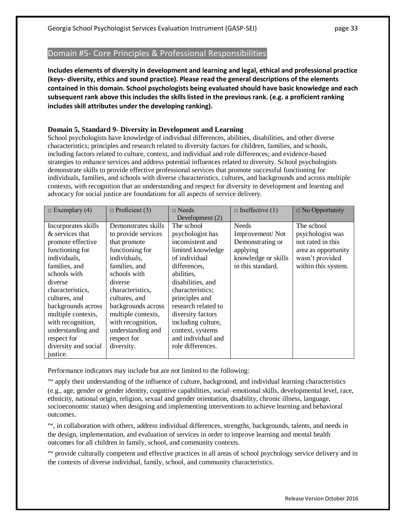## Domain #5- Core Principles & Professional Responsibilities

**Includes elements of diversity in development and learning and legal, ethical and professional practice (keys- diversity, ethics and sound practice). Please read the general descriptions of the elements contained in this domain. School psychologists being evaluated should have basic knowledge and each subsequent rank above this includes the skills listed in the previous rank. (e.g. a proficient ranking includes skill attributes under the developing ranking).**

### **Domain 5, Standard 9- Diversity in Development and Learning**

School psychologists have knowledge of individual differences, abilities, disabilities, and other diverse characteristics; principles and research related to diversity factors for children, families, and schools, including factors related to culture, context, and individual and role differences; and evidence-based strategies to enhance services and address potential influences related to diversity. School psychologists demonstrate skills to provide effective professional services that promote successful functioning for individuals, families, and schools with diverse characteristics, cultures, and backgrounds and across multiple contexts, with recognition that an understanding and respect for diversity in development and learning and advocacy for social justice are foundations for all aspects of service delivery.

| $\Box$ Exemplary (4) | $\Box$ Proficient (3) | $\Box$ Needs        | $\Box$ Ineffective (1) | $\Box$ No Opportunity |
|----------------------|-----------------------|---------------------|------------------------|-----------------------|
|                      |                       | Development $(2)$   |                        |                       |
| Incorporates skills  | Demonstrates skills   | The school          | <b>Needs</b>           | The school            |
| & services that      | to provide services   | psychologist has    | Improvement/Not        | psychologist was      |
| promote effective    | that promote          | inconsistent and    | Demonstrating or       | not rated in this     |
| functioning for      | functioning for       | limited knowledge   | applying               | area as opportunity   |
| individuals,         | individuals,          | of individual       | knowledge or skills    | wasn't provided       |
| families, and        | families, and         | differences.        | in this standard.      | within this system.   |
| schools with         | schools with          | abilities,          |                        |                       |
| diverse              | diverse               | disabilities, and   |                        |                       |
| characteristics,     | characteristics,      | characteristics:    |                        |                       |
| cultures, and        | cultures, and         | principles and      |                        |                       |
| backgrounds across   | backgrounds across    | research related to |                        |                       |
| multiple contexts,   | multiple contexts,    | diversity factors   |                        |                       |
| with recognition,    | with recognition,     | including culture,  |                        |                       |
| understanding and    | understanding and     | context, systems    |                        |                       |
| respect for          | respect for           | and individual and  |                        |                       |
| diversity and social | diversity.            | role differences.   |                        |                       |
| justice.             |                       |                     |                        |                       |

Performance indicators may include but are not limited to the following:

 $\sim$  apply their understanding of the influence of culture, background, and individual learning characteristics (e.g., age, gender or gender identity, cognitive capabilities, social–emotional skills, developmental level, race, ethnicity, national origin, religion, sexual and gender orientation, disability, chronic illness, language, socioeconomic status) when designing and implementing interventions to achieve learning and behavioral outcomes.

 $\sim$ , in collaboration with others, address individual differences, strengths, backgrounds, talents, and needs in the design, implementation, and evaluation of services in order to improve learning and mental health outcomes for all children in family, school, and community contexts.

 $\sim$  provide culturally competent and effective practices in all areas of school psychology service delivery and in the contexts of diverse individual, family, school, and community characteristics.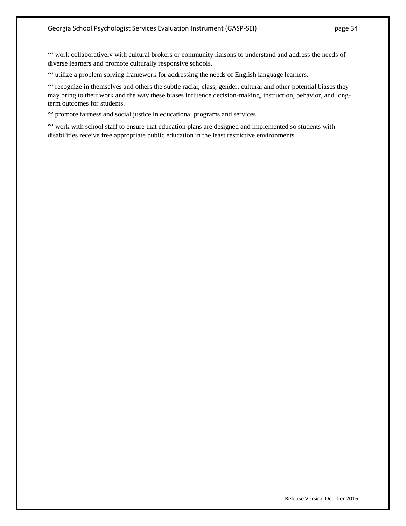~ work collaboratively with cultural brokers or community liaisons to understand and address the needs of diverse learners and promote culturally responsive schools.

 $\sim$  utilize a problem solving framework for addressing the needs of English language learners.

 $\sim$  recognize in themselves and others the subtle racial, class, gender, cultural and other potential biases they may bring to their work and the way these biases influence decision-making, instruction, behavior, and longterm outcomes for students.

 $\sim$  promote fairness and social justice in educational programs and services.

~ work with school staff to ensure that education plans are designed and implemented so students with disabilities receive free appropriate public education in the least restrictive environments.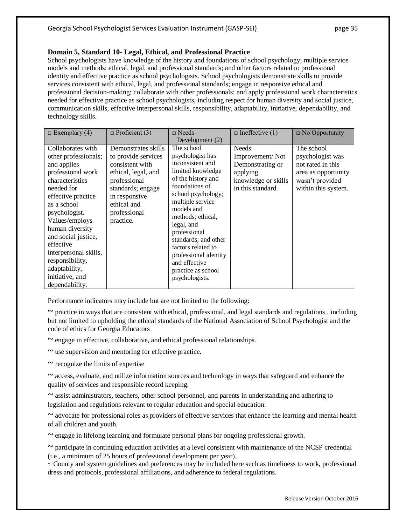### **Domain 5, Standard 10- Legal, Ethical, and Professional Practice**

School psychologists have knowledge of the history and foundations of school psychology; multiple service models and methods; ethical, legal, and professional standards; and other factors related to professional identity and effective practice as school psychologists. School psychologists demonstrate skills to provide services consistent with ethical, legal, and professional standards; engage in responsive ethical and professional decision-making; collaborate with other professionals; and apply professional work characteristics needed for effective practice as school psychologists, including respect for human diversity and social justice, communication skills, effective interpersonal skills, responsibility, adaptability, initiative, dependability, and technology skills.

| $\Box$ Exemplary (4)                                                                                                                                                                                                                                                                                                                            | $\Box$ Proficient (3)                                                                                                                                                                  | $\Box$ Needs<br>Development $(2)$                                                                                                                                                                                                                                                                                                                          | $\Box$ Ineffective (1)                                                                                      | $\Box$ No Opportunity                                                                                                |
|-------------------------------------------------------------------------------------------------------------------------------------------------------------------------------------------------------------------------------------------------------------------------------------------------------------------------------------------------|----------------------------------------------------------------------------------------------------------------------------------------------------------------------------------------|------------------------------------------------------------------------------------------------------------------------------------------------------------------------------------------------------------------------------------------------------------------------------------------------------------------------------------------------------------|-------------------------------------------------------------------------------------------------------------|----------------------------------------------------------------------------------------------------------------------|
| Collaborates with<br>other professionals;<br>and applies<br>professional work<br>characteristics<br>needed for<br>effective practice<br>as a school<br>psychologist.<br>Values/employs<br>human diversity<br>and social justice,<br>effective<br>interpersonal skills,<br>responsibility,<br>adaptability,<br>initiative, and<br>dependability. | Demonstrates skills<br>to provide services<br>consistent with<br>ethical, legal, and<br>professional<br>standards; engage<br>in responsive<br>ethical and<br>professional<br>practice. | The school<br>psychologist has<br>inconsistent and<br>limited knowledge<br>of the history and<br>foundations of<br>school psychology;<br>multiple service<br>models and<br>methods; ethical,<br>legal, and<br>professional<br>standards; and other<br>factors related to<br>professional identity<br>and effective<br>practice as school<br>psychologists. | <b>Needs</b><br>Improvement/Not<br>Demonstrating or<br>applying<br>knowledge or skills<br>in this standard. | The school<br>psychologist was<br>not rated in this<br>area as opportunity<br>wasn't provided<br>within this system. |

Performance indicators may include but are not limited to the following:

 $\sim$  practice in ways that are consistent with ethical, professional, and legal standards and regulations, including but not limited to upholding the ethical standards of the National Association of School Psychologist and the code of ethics for Georgia Educators

 $\sim$  engage in effective, collaborative, and ethical professional relationships.

 $\sim$  use supervision and mentoring for effective practice.

 $\sim$  recognize the limits of expertise

 $\sim$  access, evaluate, and utilize information sources and technology in ways that safeguard and enhance the quality of services and responsible record keeping.

 $\sim$  assist administrators, teachers, other school personnel, and parents in understanding and adhering to legislation and regulations relevant to regular education and special education.

 $\sim$  advocate for professional roles as providers of effective services that enhance the learning and mental health of all children and youth.

 $\sim$  engage in lifelong learning and formulate personal plans for ongoing professional growth.

~ participate in continuing education activities at a level consistent with maintenance of the NCSP credential (i.e., a minimum of 25 hours of professional development per year).

~ County and system guidelines and preferences may be included here such as timeliness to work, professional dress and protocols, professional affiliations, and adherence to federal regulations.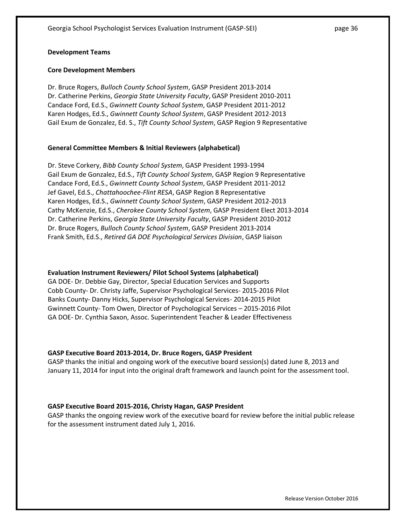### **Development Teams**

### **Core Development Members**

Dr. Bruce Rogers, *Bulloch County School System*, GASP President 2013-2014 Dr. Catherine Perkins, *Georgia State University Faculty*, GASP President 2010-2011 Candace Ford, Ed.S., *Gwinnett County School System*, GASP President 2011-2012 Karen Hodges, Ed.S., *Gwinnett County School System*, GASP President 2012-2013 Gail Exum de Gonzalez, Ed. S., *Tift County School System*, GASP Region 9 Representative

### **General Committee Members & Initial Reviewers (alphabetical)**

Dr. Steve Corkery, *Bibb County School System*, GASP President 1993-1994 Gail Exum de Gonzalez, Ed.S., *Tift County School System*, GASP Region 9 Representative Candace Ford, Ed.S., *Gwinnett County School System*, GASP President 2011-2012 Jef Gavel, Ed.S., *Chattahoochee-Flint RESA*, GASP Region 8 Representative Karen Hodges, Ed.S., *Gwinnett County School System*, GASP President 2012-2013 Cathy McKenzie, Ed.S., *Cherokee County School System*, GASP President Elect 2013-2014 Dr. Catherine Perkins, *Georgia State University Faculty*, GASP President 2010-2012 Dr. Bruce Rogers, *Bulloch County School System*, GASP President 2013-2014 Frank Smith, Ed.S., *Retired GA DOE Psychological Services Division*, GASP liaison

#### **Evaluation Instrument Reviewers/ Pilot School Systems (alphabetical)**

GA DOE- Dr. Debbie Gay, Director, Special Education Services and Supports Cobb County- Dr. Christy Jaffe, Supervisor Psychological Services- 2015-2016 Pilot Banks County- Danny Hicks, Supervisor Psychological Services- 2014-2015 Pilot Gwinnett County- Tom Owen, Director of Psychological Services – 2015-2016 Pilot GA DOE- Dr. Cynthia Saxon, Assoc. Superintendent Teacher & Leader Effectiveness

#### **GASP Executive Board 2013-2014, Dr. Bruce Rogers, GASP President**

GASP thanks the initial and ongoing work of the executive board session(s) dated June 8, 2013 and January 11, 2014 for input into the original draft framework and launch point for the assessment tool.

### **GASP Executive Board 2015-2016, Christy Hagan, GASP President**

GASP thanks the ongoing review work of the executive board for review before the initial public release for the assessment instrument dated July 1, 2016.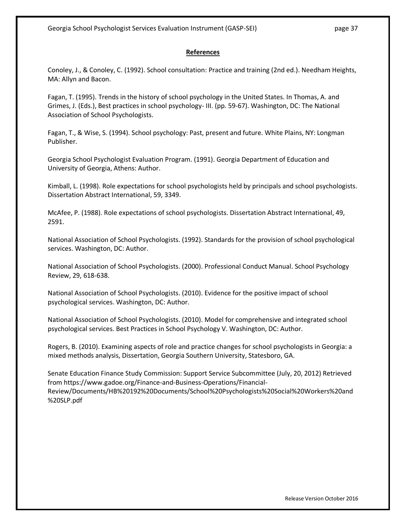### **References**

Conoley, J., & Conoley, C. (1992). School consultation: Practice and training (2nd ed.). Needham Heights, MA: Allyn and Bacon.

Fagan, T. (1995). Trends in the history of school psychology in the United States. In Thomas, A. and Grimes, J. (Eds.), Best practices in school psychology- III. (pp. 59-67). Washington, DC: The National Association of School Psychologists.

Fagan, T., & Wise, S. (1994). School psychology: Past, present and future. White Plains, NY: Longman Publisher.

Georgia School Psychologist Evaluation Program. (1991). Georgia Department of Education and University of Georgia, Athens: Author.

Kimball, L. (1998). Role expectations for school psychologists held by principals and school psychologists. Dissertation Abstract International, 59, 3349.

McAfee, P. (1988). Role expectations of school psychologists. Dissertation Abstract International, 49, 2591.

National Association of School Psychologists. (1992). Standards for the provision of school psychological services. Washington, DC: Author.

National Association of School Psychologists. (2000). Professional Conduct Manual. School Psychology Review, 29, 618-638.

National Association of School Psychologists. (2010). Evidence for the positive impact of school psychological services. Washington, DC: Author.

National Association of School Psychologists. (2010). Model for comprehensive and integrated school psychological services. Best Practices in School Psychology V. Washington, DC: Author.

Rogers, B. (2010). Examining aspects of role and practice changes for school psychologists in Georgia: a mixed methods analysis, Dissertation, Georgia Southern University, Statesboro, GA.

Senate Education Finance Study Commission: Support Service Subcommittee (July, 20, 2012) Retrieved from https://www.gadoe.org/Finance-and-Business-Operations/Financial-Review/Documents/HB%20192%20Documents/School%20Psychologists%20Social%20Workers%20and %20SLP.pdf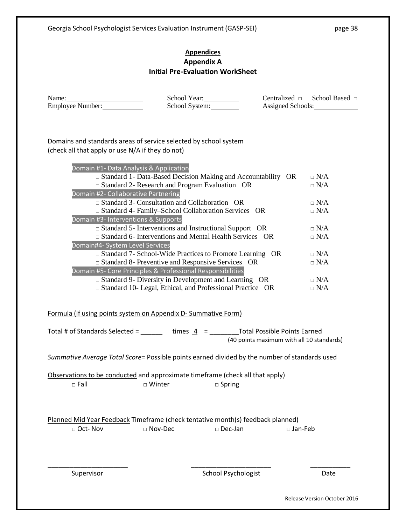## **Appendices Appendix A Initial Pre-Evaluation WorkSheet**

| Name:                   |  |
|-------------------------|--|
| <b>Employee Number:</b> |  |

School Year:<br>School System: \[\]

Name: School Year: Centralized □ School Based □

Domains and standards areas of service selected by school system (check all that apply or use N/A if they do not)

| Domain #1- Data Analysis & Application                                                                                                                                  |            |
|-------------------------------------------------------------------------------------------------------------------------------------------------------------------------|------------|
| $\square$ Standard 1- Data-Based Decision Making and Accountability OR                                                                                                  | $\Box$ N/A |
| $\square$ Standard 2- Research and Program Evaluation OR                                                                                                                | $\Box$ N/A |
| Domain #2- Collaborative Partnering                                                                                                                                     |            |
| $\Box$ Standard 3- Consultation and Collaboration OR                                                                                                                    | $\Box N/A$ |
| □ Standard 4- Family-School Collaboration Services OR                                                                                                                   | $\Box N/A$ |
| Domain #3- Interventions & Supports                                                                                                                                     |            |
| $\square$ Standard 5- Interventions and Instructional Support OR                                                                                                        | $\Box$ N/A |
| $\Box$ Standard 6- Interventions and Mental Health Services OR                                                                                                          | $\Box$ N/A |
| Domain#4- System Level Services                                                                                                                                         |            |
| $\Box$ Standard 7- School-Wide Practices to Promote Learning OR                                                                                                         | $\Box$ N/A |
| $\square$ Standard 8- Preventive and Responsive Services OR<br>Domain #5- Core Principles & Professional Responsibilities                                               | $\Box$ N/A |
| $\Box$ Standard 9- Diversity in Development and Learning OR                                                                                                             | $\Box$ N/A |
| $\Box$ Standard 10- Legal, Ethical, and Professional Practice OR                                                                                                        | $\Box$ N/A |
|                                                                                                                                                                         |            |
|                                                                                                                                                                         |            |
| Formula (if using points system on Appendix D-Summative Form)                                                                                                           |            |
|                                                                                                                                                                         |            |
| Total # of Standards Selected = $\frac{1}{\sqrt{1-\frac{1}{n}}}$ times $\frac{4}{\sqrt{1-\frac{1}{n}}}$ = $\frac{1}{\sqrt{1-\frac{1}{n}}}$ Total Possible Points Earned |            |
| (40 points maximum with all 10 standards)                                                                                                                               |            |
|                                                                                                                                                                         |            |
| Summative Average Total Score= Possible points earned divided by the number of standards used                                                                           |            |
|                                                                                                                                                                         |            |
| Observations to be conducted and approximate timeframe (check all that apply)                                                                                           |            |
| $\square$ Winter<br>$\Box$ Fall<br>$\square$ Spring                                                                                                                     |            |
|                                                                                                                                                                         |            |
|                                                                                                                                                                         |            |
|                                                                                                                                                                         |            |
| Planned Mid Year Feedback Timeframe (check tentative month(s) feedback planned)                                                                                         |            |
| □ Oct- Nov<br>$\Box$ Nov-Dec<br>□ Jan-Feb<br>$\square$ Dec-Jan                                                                                                          |            |
|                                                                                                                                                                         |            |
|                                                                                                                                                                         |            |
|                                                                                                                                                                         |            |
|                                                                                                                                                                         |            |

Release Version October 2016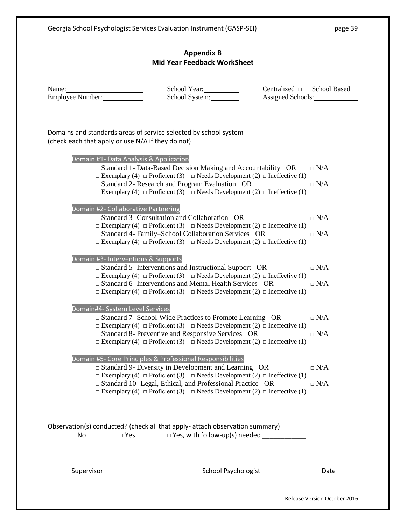## **Appendix B Mid Year Feedback WorkSheet**

| Name:<br>Employee Number:                                                                                             | School Year:<br>School System:                                                                                                                                                                                                 | Centralized □ School Based □<br>Assigned Schools: |
|-----------------------------------------------------------------------------------------------------------------------|--------------------------------------------------------------------------------------------------------------------------------------------------------------------------------------------------------------------------------|---------------------------------------------------|
| Domains and standards areas of service selected by school system<br>(check each that apply or use N/A if they do not) |                                                                                                                                                                                                                                |                                                   |
| Domain #1- Data Analysis & Application                                                                                | $\square$ Standard 1- Data-Based Decision Making and Accountability OR<br>$\Box$ Exemplary (4) $\Box$ Proficient (3) $\Box$ Needs Development (2) $\Box$ Ineffective (1)                                                       | $\Box$ N/A                                        |
|                                                                                                                       | $\square$ Standard 2- Research and Program Evaluation OR<br>$\Box$ Exemplary (4) $\Box$ Proficient (3) $\Box$ Needs Development (2) $\Box$ Ineffective (1)                                                                     | $\Box$ N/A                                        |
| Domain #2- Collaborative Partnering                                                                                   | $\Box$ Standard 3- Consultation and Collaboration OR<br>$\Box$ Exemplary (4) $\Box$ Proficient (3) $\Box$ Needs Development (2) $\Box$ Ineffective (1)                                                                         | $\Box$ N/A                                        |
|                                                                                                                       | □ Standard 4- Family–School Collaboration Services OR<br>$\Box$ Exemplary (4) $\Box$ Proficient (3) $\Box$ Needs Development (2) $\Box$ Ineffective (1)                                                                        | $\Box$ N/A                                        |
| Domain #3- Interventions & Supports                                                                                   | $\square$ Standard 5- Interventions and Instructional Support OR<br>$\Box$ Exemplary (4) $\Box$ Proficient (3) $\Box$ Needs Development (2) $\Box$ Ineffective (1)                                                             | $\Box$ N/A                                        |
|                                                                                                                       | $\Box$ Standard 6- Interventions and Mental Health Services OR<br>$\Box$ Exemplary (4) $\Box$ Proficient (3) $\Box$ Needs Development (2) $\Box$ Ineffective (1)                                                               | $\Box$ N/A                                        |
| Domain#4- System Level Services                                                                                       | $\Box$ Standard 7- School-Wide Practices to Promote Learning OR<br>$\Box$ Exemplary (4) $\Box$ Proficient (3) $\Box$ Needs Development (2) $\Box$ Ineffective (1)                                                              | $\Box$ N/A                                        |
|                                                                                                                       | $\square$ Standard 8- Preventive and Responsive Services OR<br>$\Box$ Exemplary (4) $\Box$ Proficient (3) $\Box$ Needs Development (2) $\Box$ Ineffective (1)                                                                  | $\Box$ N/A                                        |
|                                                                                                                       | Domain #5- Core Principles & Professional Responsibilities<br>$\square$ Standard 9- Diversity in Development and Learning OR<br>$\Box$ Exemplary (4) $\Box$ Proficient (3) $\Box$ Needs Development (2) $\Box$ Ineffective (1) | $\Box$ N/A                                        |
|                                                                                                                       | $\Box$ Standard 10- Legal, Ethical, and Professional Practice OR<br>$\Box$ Exemplary (4) $\Box$ Proficient (3) $\Box$ Needs Development (2) $\Box$ Ineffective (1)                                                             | $\Box N/A$                                        |
| Observation(s) conducted? (check all that apply- attach observation summary)                                          |                                                                                                                                                                                                                                |                                                   |
| $\Box$ No<br>$\Box$ Yes                                                                                               | $\square$ Yes, with follow-up(s) needed $\blacksquare$                                                                                                                                                                         |                                                   |
| Supervisor                                                                                                            | <b>School Psychologist</b>                                                                                                                                                                                                     | Date                                              |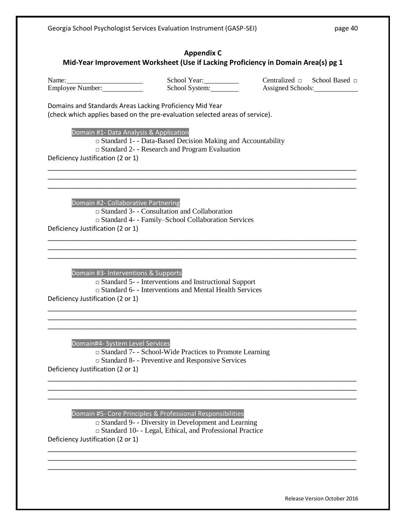## **Appendix C Mid-Year Improvement Worksheet (Use if Lacking Proficiency in Domain Area(s) pg 1**

Name: School Year: Centralized □ School Based □<br>
School Svstem: Centralized □ School Based □<br>
Assigned Schools: Employee Number: School System: Assigned Schools: Assigned Schools:

Domains and Standards Areas Lacking Proficiency Mid Year (check which applies based on the pre-evaluation selected areas of service).

Domain #1- Data Analysis & Application

□ Standard 1- - Data-Based Decision Making and Accountability

\_\_\_\_\_\_\_\_\_\_\_\_\_\_\_\_\_\_\_\_\_\_\_\_\_\_\_\_\_\_\_\_\_\_\_\_\_\_\_\_\_\_\_\_\_\_\_\_\_\_\_\_\_\_\_\_\_\_\_\_\_\_\_\_\_\_\_\_\_\_\_\_\_\_\_\_\_\_\_\_\_\_\_\_\_ \_\_\_\_\_\_\_\_\_\_\_\_\_\_\_\_\_\_\_\_\_\_\_\_\_\_\_\_\_\_\_\_\_\_\_\_\_\_\_\_\_\_\_\_\_\_\_\_\_\_\_\_\_\_\_\_\_\_\_\_\_\_\_\_\_\_\_\_\_\_\_\_\_\_\_\_\_\_\_\_\_\_\_\_\_ \_\_\_\_\_\_\_\_\_\_\_\_\_\_\_\_\_\_\_\_\_\_\_\_\_\_\_\_\_\_\_\_\_\_\_\_\_\_\_\_\_\_\_\_\_\_\_\_\_\_\_\_\_\_\_\_\_\_\_\_\_\_\_\_\_\_\_\_\_\_\_\_\_\_\_\_\_\_\_\_\_\_\_\_\_

\_\_\_\_\_\_\_\_\_\_\_\_\_\_\_\_\_\_\_\_\_\_\_\_\_\_\_\_\_\_\_\_\_\_\_\_\_\_\_\_\_\_\_\_\_\_\_\_\_\_\_\_\_\_\_\_\_\_\_\_\_\_\_\_\_\_\_\_\_\_\_\_\_\_\_\_\_\_\_\_\_\_\_\_\_ \_\_\_\_\_\_\_\_\_\_\_\_\_\_\_\_\_\_\_\_\_\_\_\_\_\_\_\_\_\_\_\_\_\_\_\_\_\_\_\_\_\_\_\_\_\_\_\_\_\_\_\_\_\_\_\_\_\_\_\_\_\_\_\_\_\_\_\_\_\_\_\_\_\_\_\_\_\_\_\_\_\_\_\_\_ \_\_\_\_\_\_\_\_\_\_\_\_\_\_\_\_\_\_\_\_\_\_\_\_\_\_\_\_\_\_\_\_\_\_\_\_\_\_\_\_\_\_\_\_\_\_\_\_\_\_\_\_\_\_\_\_\_\_\_\_\_\_\_\_\_\_\_\_\_\_\_\_\_\_\_\_\_\_\_\_\_\_\_\_\_

\_\_\_\_\_\_\_\_\_\_\_\_\_\_\_\_\_\_\_\_\_\_\_\_\_\_\_\_\_\_\_\_\_\_\_\_\_\_\_\_\_\_\_\_\_\_\_\_\_\_\_\_\_\_\_\_\_\_\_\_\_\_\_\_\_\_\_\_\_\_\_\_\_\_\_\_\_\_\_\_\_\_\_\_\_ \_\_\_\_\_\_\_\_\_\_\_\_\_\_\_\_\_\_\_\_\_\_\_\_\_\_\_\_\_\_\_\_\_\_\_\_\_\_\_\_\_\_\_\_\_\_\_\_\_\_\_\_\_\_\_\_\_\_\_\_\_\_\_\_\_\_\_\_\_\_\_\_\_\_\_\_\_\_\_\_\_\_\_\_\_ \_\_\_\_\_\_\_\_\_\_\_\_\_\_\_\_\_\_\_\_\_\_\_\_\_\_\_\_\_\_\_\_\_\_\_\_\_\_\_\_\_\_\_\_\_\_\_\_\_\_\_\_\_\_\_\_\_\_\_\_\_\_\_\_\_\_\_\_\_\_\_\_\_\_\_\_\_\_\_\_\_\_\_\_\_

\_\_\_\_\_\_\_\_\_\_\_\_\_\_\_\_\_\_\_\_\_\_\_\_\_\_\_\_\_\_\_\_\_\_\_\_\_\_\_\_\_\_\_\_\_\_\_\_\_\_\_\_\_\_\_\_\_\_\_\_\_\_\_\_\_\_\_\_\_\_\_\_\_\_\_\_\_\_\_\_\_\_\_\_\_ \_\_\_\_\_\_\_\_\_\_\_\_\_\_\_\_\_\_\_\_\_\_\_\_\_\_\_\_\_\_\_\_\_\_\_\_\_\_\_\_\_\_\_\_\_\_\_\_\_\_\_\_\_\_\_\_\_\_\_\_\_\_\_\_\_\_\_\_\_\_\_\_\_\_\_\_\_\_\_\_\_\_\_\_\_ \_\_\_\_\_\_\_\_\_\_\_\_\_\_\_\_\_\_\_\_\_\_\_\_\_\_\_\_\_\_\_\_\_\_\_\_\_\_\_\_\_\_\_\_\_\_\_\_\_\_\_\_\_\_\_\_\_\_\_\_\_\_\_\_\_\_\_\_\_\_\_\_\_\_\_\_\_\_\_\_\_\_\_\_\_

\_\_\_\_\_\_\_\_\_\_\_\_\_\_\_\_\_\_\_\_\_\_\_\_\_\_\_\_\_\_\_\_\_\_\_\_\_\_\_\_\_\_\_\_\_\_\_\_\_\_\_\_\_\_\_\_\_\_\_\_\_\_\_\_\_\_\_\_\_\_\_\_\_\_\_\_\_\_\_\_\_\_\_\_\_ \_\_\_\_\_\_\_\_\_\_\_\_\_\_\_\_\_\_\_\_\_\_\_\_\_\_\_\_\_\_\_\_\_\_\_\_\_\_\_\_\_\_\_\_\_\_\_\_\_\_\_\_\_\_\_\_\_\_\_\_\_\_\_\_\_\_\_\_\_\_\_\_\_\_\_\_\_\_\_\_\_\_\_\_\_ \_\_\_\_\_\_\_\_\_\_\_\_\_\_\_\_\_\_\_\_\_\_\_\_\_\_\_\_\_\_\_\_\_\_\_\_\_\_\_\_\_\_\_\_\_\_\_\_\_\_\_\_\_\_\_\_\_\_\_\_\_\_\_\_\_\_\_\_\_\_\_\_\_\_\_\_\_\_\_\_\_\_\_\_\_

□ Standard 2- - Research and Program Evaluation

Deficiency Justification (2 or 1)

Domain #2- Collaborative Partnering

□ Standard 3- - Consultation and Collaboration □ Standard 4- - Family–School Collaboration Services Deficiency Justification (2 or 1)

Domain #3- Interventions & Supports □ Standard 5- - Interventions and Instructional Support □ Standard 6- - Interventions and Mental Health Services Deficiency Justification (2 or 1)

Domain#4- System Level Services

□ Standard 7- - School-Wide Practices to Promote Learning

□ Standard 8- - Preventive and Responsive Services

Deficiency Justification (2 or 1)

Domain #5- Core Principles & Professional Responsibilities

 $\Box$  Standard 9- - Diversity in Development and Learning □ Standard 10- - Legal, Ethical, and Professional Practice Deficiency Justification (2 or 1)

Release Version October 2016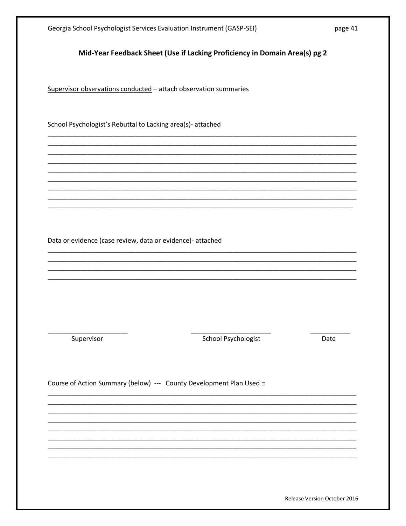| Georgia School Psychologist Services Evaluation Instrument (GASP-SEI) |                                                                            | page 41 |
|-----------------------------------------------------------------------|----------------------------------------------------------------------------|---------|
|                                                                       | Mid-Year Feedback Sheet (Use if Lacking Proficiency in Domain Area(s) pg 2 |         |
| Supervisor observations conducted - attach observation summaries      |                                                                            |         |
| School Psychologist's Rebuttal to Lacking area(s)- attached           |                                                                            |         |
|                                                                       |                                                                            |         |
|                                                                       |                                                                            |         |
| Data or evidence (case review, data or evidence)- attached            |                                                                            |         |
|                                                                       |                                                                            |         |
|                                                                       |                                                                            |         |
|                                                                       |                                                                            |         |
|                                                                       |                                                                            | Date    |
| Supervisor                                                            | School Psychologist                                                        |         |
| Course of Action Summary (below) --- County Development Plan Used a   |                                                                            |         |
|                                                                       |                                                                            |         |
|                                                                       |                                                                            |         |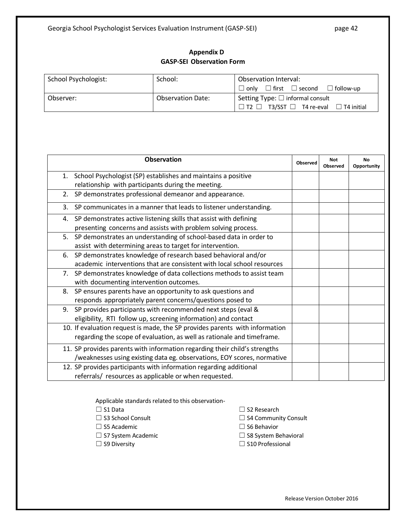## **Appendix D GASP-SEI Observation Form**

| School Psychologist: | School:                  | Observation Interval:                                       |  |
|----------------------|--------------------------|-------------------------------------------------------------|--|
|                      |                          | $\Box$ only $\Box$ first $\Box$ second $\Box$ follow-up     |  |
| Observer:            | <b>Observation Date:</b> | Setting Type: $\Box$ informal consult                       |  |
|                      |                          | $\Box$ T2 $\Box$ T3/SST $\Box$ T4 re-eval $\Box$ T4 initial |  |

|    | <b>Observation</b>                                                          | Observed | <b>Not</b><br><b>Observed</b> | <b>No</b><br>Opportunity |
|----|-----------------------------------------------------------------------------|----------|-------------------------------|--------------------------|
|    | 1. School Psychologist (SP) establishes and maintains a positive            |          |                               |                          |
|    | relationship with participants during the meeting.                          |          |                               |                          |
| 2. | SP demonstrates professional demeanor and appearance.                       |          |                               |                          |
| 3. | SP communicates in a manner that leads to listener understanding.           |          |                               |                          |
| 4. | SP demonstrates active listening skills that assist with defining           |          |                               |                          |
|    | presenting concerns and assists with problem solving process.               |          |                               |                          |
| 5. | SP demonstrates an understanding of school-based data in order to           |          |                               |                          |
|    | assist with determining areas to target for intervention.                   |          |                               |                          |
| 6. | SP demonstrates knowledge of research based behavioral and/or               |          |                               |                          |
|    | academic interventions that are consistent with local school resources      |          |                               |                          |
|    | 7. SP demonstrates knowledge of data collections methods to assist team     |          |                               |                          |
|    | with documenting intervention outcomes.                                     |          |                               |                          |
| 8. | SP ensures parents have an opportunity to ask questions and                 |          |                               |                          |
|    | responds appropriately parent concerns/questions posed to                   |          |                               |                          |
| 9. | SP provides participants with recommended next steps (eval &                |          |                               |                          |
|    | eligibility, RTI follow up, screening information) and contact              |          |                               |                          |
|    | 10. If evaluation request is made, the SP provides parents with information |          |                               |                          |
|    | regarding the scope of evaluation, as well as rationale and timeframe.      |          |                               |                          |
|    | 11. SP provides parents with information regarding their child's strengths  |          |                               |                          |
|    | /weaknesses using existing data eg. observations, EOY scores, normative     |          |                               |                          |
|    | 12. SP provides participants with information regarding additional          |          |                               |                          |
|    | referrals/ resources as applicable or when requested.                       |          |                               |                          |

Applicable standards related to this observation-

- 
- 
- ☐ S5 Academic ☐ S6 Behavior
- 
- 

☐ S1 Data ☐ S2 Research

- ☐ S3 School Consult ☐ S4 Community Consult
	-
- ☐ S7 System Academic ☐ S8 System Behavioral
- ☐ S9 Diversity ☐ S10 Professional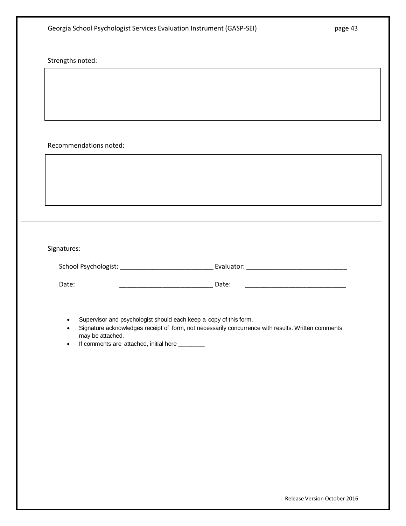|                                                                                              | Georgia School Psychologist Services Evaluation Instrument (GASP-SEI)                                                                                                   | page 43                                                                                                               |
|----------------------------------------------------------------------------------------------|-------------------------------------------------------------------------------------------------------------------------------------------------------------------------|-----------------------------------------------------------------------------------------------------------------------|
| Strengths noted:                                                                             |                                                                                                                                                                         |                                                                                                                       |
|                                                                                              |                                                                                                                                                                         |                                                                                                                       |
|                                                                                              |                                                                                                                                                                         |                                                                                                                       |
|                                                                                              |                                                                                                                                                                         |                                                                                                                       |
| Recommendations noted:                                                                       |                                                                                                                                                                         |                                                                                                                       |
|                                                                                              |                                                                                                                                                                         |                                                                                                                       |
|                                                                                              |                                                                                                                                                                         |                                                                                                                       |
|                                                                                              |                                                                                                                                                                         |                                                                                                                       |
|                                                                                              |                                                                                                                                                                         |                                                                                                                       |
|                                                                                              |                                                                                                                                                                         |                                                                                                                       |
| Signatures:                                                                                  |                                                                                                                                                                         |                                                                                                                       |
| Date:                                                                                        | Date:                                                                                                                                                                   | <u> 1980 - Johann John Barn, mars eta bainar eta industrial eta eta eta erroman erroman erroman erroman erroman e</u> |
| $\bullet$<br>may be attached.<br>If comments are attached, initial here _______<br>$\bullet$ | Supervisor and psychologist should each keep a copy of this form.<br>Signature acknowledges receipt of form, not necessarily concurrence with results. Written comments |                                                                                                                       |
|                                                                                              |                                                                                                                                                                         |                                                                                                                       |
|                                                                                              |                                                                                                                                                                         |                                                                                                                       |
|                                                                                              |                                                                                                                                                                         |                                                                                                                       |
|                                                                                              |                                                                                                                                                                         |                                                                                                                       |
|                                                                                              |                                                                                                                                                                         |                                                                                                                       |
|                                                                                              |                                                                                                                                                                         |                                                                                                                       |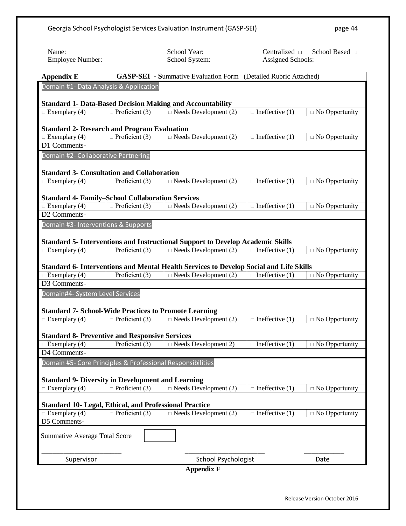| Georgia School Psychologist Services Evaluation Instrument (GASP-SEI) |                                                                                        |                                                                                                                                                                                      | page 44                |                              |
|-----------------------------------------------------------------------|----------------------------------------------------------------------------------------|--------------------------------------------------------------------------------------------------------------------------------------------------------------------------------------|------------------------|------------------------------|
|                                                                       |                                                                                        | School Year:                                                                                                                                                                         |                        | Centralized □ School Based □ |
| Name: Employee Number:                                                |                                                                                        | School System:                                                                                                                                                                       |                        | Assigned Schools:            |
| <b>Appendix E</b>                                                     | <b>GASP-SEI</b> - Summative Evaluation Form (Detailed Rubric Attached)                 |                                                                                                                                                                                      |                        |                              |
|                                                                       | Domain #1- Data Analysis & Application                                                 |                                                                                                                                                                                      |                        |                              |
|                                                                       |                                                                                        | <b>Standard 1- Data-Based Decision Making and Accountability</b>                                                                                                                     |                        |                              |
| $\Box$ Exemplary (4)                                                  |                                                                                        | $\Box$ Proficient (3) $\Box$ Needs Development (2)                                                                                                                                   | $\Box$ Ineffective (1) | $\Box$ No Opportunity        |
|                                                                       |                                                                                        |                                                                                                                                                                                      |                        |                              |
|                                                                       | <b>Standard 2- Research and Program Evaluation</b>                                     |                                                                                                                                                                                      |                        |                              |
| $\Box$ Exemplary (4)<br>D1 Comments-                                  | $\Box$ Proficient (3)                                                                  | $\Box$ Needs Development (2)                                                                                                                                                         | $\Box$ Ineffective (1) | $\Box$ No Opportunity        |
| Domain #2- Collaborative Partnering                                   |                                                                                        |                                                                                                                                                                                      |                        |                              |
|                                                                       |                                                                                        |                                                                                                                                                                                      |                        |                              |
|                                                                       | <b>Standard 3- Consultation and Collaboration</b>                                      |                                                                                                                                                                                      |                        |                              |
| $\Box$ Exemplary (4)                                                  |                                                                                        | $\Box$ Proficient (3) $\Box$ Needs Development (2)                                                                                                                                   | $\Box$ Ineffective (1) | $\Box$ No Opportunity        |
|                                                                       | <b>Standard 4- Family-School Collaboration Services</b>                                |                                                                                                                                                                                      |                        |                              |
|                                                                       | $\Box$ Exemplary (4) $\Box$ Proficient (3)                                             | $\Box$ Needs Development (2)                                                                                                                                                         | $\Box$ Ineffective (1) | $\Box$ No Opportunity        |
| D2 Comments-                                                          |                                                                                        |                                                                                                                                                                                      |                        |                              |
|                                                                       | Domain #3- Interventions & Supports                                                    |                                                                                                                                                                                      |                        |                              |
|                                                                       |                                                                                        | <b>Standard 5- Interventions and Instructional Support to Develop Academic Skills</b>                                                                                                |                        |                              |
| $\Box$ Exemplary (4)                                                  | $\Box$ Proficient (3)                                                                  | $\Box$ Needs Development (2) $\Box$ Ineffective (1)                                                                                                                                  |                        | $\Box$ No Opportunity        |
|                                                                       |                                                                                        |                                                                                                                                                                                      |                        |                              |
| $\Box$ Exemplary (4)                                                  |                                                                                        | <b>Standard 6- Interventions and Mental Health Services to Develop Social and Life Skills</b><br>$\Box$ Proficient (3) $\Box$ Needs Development (2) $\Box$ Ineffective (1)           |                        | $\Box$ No Opportunity        |
| D3 Comments-                                                          |                                                                                        |                                                                                                                                                                                      |                        |                              |
| Domain#4- System Level Services                                       |                                                                                        |                                                                                                                                                                                      |                        |                              |
|                                                                       |                                                                                        |                                                                                                                                                                                      |                        |                              |
|                                                                       |                                                                                        | <b>Standard 7- School-Wide Practices to Promote Learning</b><br>$\Box$ Exemplary (4) $\Box$ Proficient (3) $\Box$ Needs Development (2) $\Box$ Ineffective (1) $\Box$ No Opportunity |                        |                              |
|                                                                       |                                                                                        |                                                                                                                                                                                      |                        |                              |
|                                                                       | <b>Standard 8- Preventive and Responsive Services</b>                                  |                                                                                                                                                                                      |                        |                              |
| $\Box$ Exemplary (4)                                                  | $\Box$ Proficient (3)                                                                  | $\Box$ Needs Development 2)                                                                                                                                                          | $\Box$ Ineffective (1) | $\Box$ No Opportunity        |
| D4 Comments-                                                          |                                                                                        |                                                                                                                                                                                      |                        |                              |
|                                                                       | Domain #5- Core Principles & Professional Responsibilities                             |                                                                                                                                                                                      |                        |                              |
|                                                                       | <b>Standard 9- Diversity in Development and Learning</b>                               |                                                                                                                                                                                      |                        |                              |
| $\Box$ Exemplary (4)                                                  | $\Box$ Proficient (3)                                                                  | $\Box$ Needs Development (2)                                                                                                                                                         | $\Box$ Ineffective (1) | $\Box$ No Opportunity        |
|                                                                       |                                                                                        |                                                                                                                                                                                      |                        |                              |
| $\Box$ Exemplary (4)                                                  | <b>Standard 10- Legal, Ethical, and Professional Practice</b><br>$\Box$ Proficient (3) | $\Box$ Needs Development (2)                                                                                                                                                         | $\Box$ Ineffective (1) | $\Box$ No Opportunity        |
| D5 Comments-                                                          |                                                                                        |                                                                                                                                                                                      |                        |                              |
| <b>Summative Average Total Score</b>                                  |                                                                                        |                                                                                                                                                                                      |                        |                              |
|                                                                       |                                                                                        |                                                                                                                                                                                      |                        |                              |
| Supervisor                                                            |                                                                                        | <b>School Psychologist</b>                                                                                                                                                           |                        | Date                         |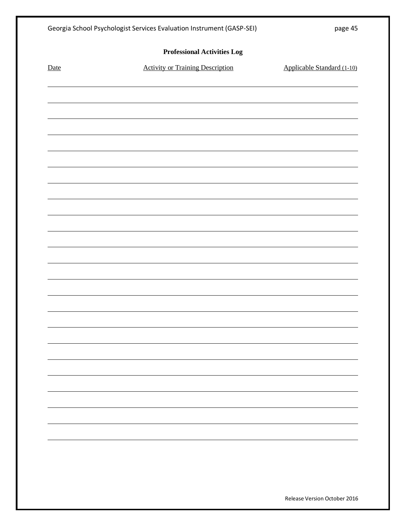|      | Georgia School Psychologist Services Evaluation Instrument (GASP-SEI) | page 45                      |  |  |  |  |
|------|-----------------------------------------------------------------------|------------------------------|--|--|--|--|
|      | <b>Professional Activities Log</b>                                    |                              |  |  |  |  |
| Date | <b>Activity or Training Description</b>                               | Applicable Standard (1-10)   |  |  |  |  |
|      |                                                                       |                              |  |  |  |  |
|      |                                                                       |                              |  |  |  |  |
|      |                                                                       |                              |  |  |  |  |
|      |                                                                       |                              |  |  |  |  |
|      |                                                                       |                              |  |  |  |  |
|      |                                                                       |                              |  |  |  |  |
|      |                                                                       |                              |  |  |  |  |
|      |                                                                       |                              |  |  |  |  |
|      |                                                                       |                              |  |  |  |  |
|      |                                                                       |                              |  |  |  |  |
|      |                                                                       |                              |  |  |  |  |
|      |                                                                       |                              |  |  |  |  |
|      |                                                                       |                              |  |  |  |  |
|      |                                                                       |                              |  |  |  |  |
|      |                                                                       |                              |  |  |  |  |
|      |                                                                       |                              |  |  |  |  |
|      |                                                                       |                              |  |  |  |  |
|      |                                                                       |                              |  |  |  |  |
|      |                                                                       |                              |  |  |  |  |
|      |                                                                       |                              |  |  |  |  |
|      |                                                                       |                              |  |  |  |  |
|      |                                                                       |                              |  |  |  |  |
|      |                                                                       |                              |  |  |  |  |
|      |                                                                       |                              |  |  |  |  |
|      |                                                                       |                              |  |  |  |  |
|      |                                                                       | Release Version October 2016 |  |  |  |  |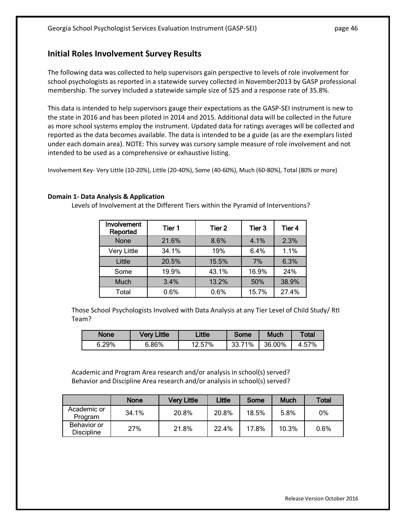## **Initial Roles Involvement Survey Results**

The following data was collected to help supervisors gain perspective to levels of role involvement for school psychologists as reported in a statewide survey collected in November2013 by GASP professional membership. The survey included a statewide sample size of 525 and a response rate of 35.8%.

This data is intended to help supervisors gauge their expectations as the GASP-SEI instrument is new to the state in 2016 and has been piloted in 2014 and 2015. Additional data will be collected in the future as more school systems employ the instrument. Updated data for ratings averages will be collected and reported as the data becomes available. The data is intended to be a guide (as are the exemplars listed under each domain area). NOTE: This survey was cursory sample measure of role involvement and not intended to be used as a comprehensive or exhaustive listing.

Involvement Key- Very Little (10-20%), Little (20-40%), Some (40-60%), Much (60-80%), Total (80% or more)

### **Domain 1- Data Analysis & Application**

Levels of Involvement at the Different Tiers within the Pyramid of Interventions?

| Involvement<br>Reported | Tier 1 | Tier 2 | Tier 3 | Tier 4 |
|-------------------------|--------|--------|--------|--------|
| <b>None</b>             | 21.6%  | 8.6%   | 4.1%   | 2.3%   |
| <b>Very Little</b>      | 34.1%  | 19%    | 6.4%   | 1.1%   |
| Little                  | 20.5%  | 15.5%  | 7%     | 6.3%   |
| Some                    | 19.9%  | 43.1%  | 16.9%  | 24%    |
| <b>Much</b>             | 3.4%   | 13.2%  | 50%    | 38.9%  |
| Total                   | 0.6%   | 0.6%   | 15.7%  | 27.4%  |

Those School Psychologists Involved with Data Analysis at any Tier Level of Child Study/ RtI Team?

| None  | <b>Very Little</b> | Little | Some   | Much   | Total |
|-------|--------------------|--------|--------|--------|-------|
| 6.29% | 6.86%              | 12.57% | 33.71% | 36.00% | 4.57% |

Academic and Program Area research and/or analysis in school(s) served? Behavior and Discipline Area research and/or analysis in school(s) served?

|                                  | None  | <b>Very Little</b> | Little | Some  | <b>Much</b> | <b>Total</b> |
|----------------------------------|-------|--------------------|--------|-------|-------------|--------------|
| Academic or<br>Program           | 34.1% | 20.8%              | 20.8%  | 18.5% | 5.8%        | 0%           |
| Behavior or<br><b>Discipline</b> | 27%   | 21.8%              | 22.4%  | 17.8% | 10.3%       | 0.6%         |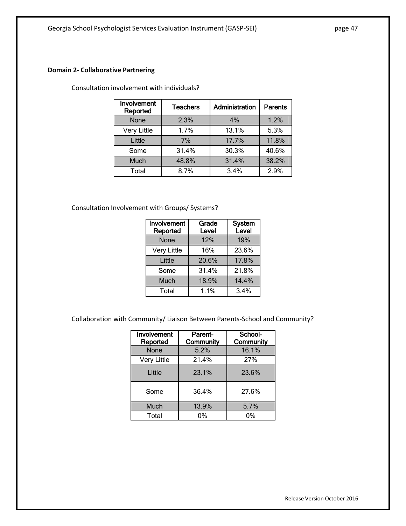### **Domain 2- Collaborative Partnering**

Consultation involvement with individuals?

| Involvement<br>Reported | <b>Teachers</b> | Administration | <b>Parents</b> |
|-------------------------|-----------------|----------------|----------------|
| None                    | 2.3%            | 4%             | 1.2%           |
| <b>Very Little</b>      | 1.7%            | 13.1%          | 5.3%           |
| Little                  | 7%              | 17.7%          | 11.8%          |
| Some                    | 31.4%           | 30.3%          | 40.6%          |
| Much                    | 48.8%           | 31.4%          | 38.2%          |
| Total                   | 8.7%            | 3.4%           | 2.9%           |

Consultation Involvement with Groups/ Systems?

| Involvement<br>Reported | Grade<br>Level | <b>System</b><br>Level |
|-------------------------|----------------|------------------------|
| None                    | 12%            | 19%                    |
| <b>Very Little</b>      | 16%            | 23.6%                  |
| Little                  | 20.6%          | 17.8%                  |
| Some                    | 31.4%          | 21.8%                  |
| Much                    | 18.9%          | 14.4%                  |
| Total                   | 1.1%           | 3.4%                   |

Collaboration with Community/ Liaison Between Parents-School and Community?

| Involvement<br>Reported | Parent-<br>Community | School-<br>Community |
|-------------------------|----------------------|----------------------|
| None                    | 5.2%                 | 16.1%                |
| <b>Very Little</b>      | 21.4%                | 27%                  |
| Little                  | 23.1%                | 23.6%                |
| Some                    | 36.4%                | 27.6%                |
| Much                    | 13.9%                | 5.7%                 |
| Total                   | 0%                   | 0%                   |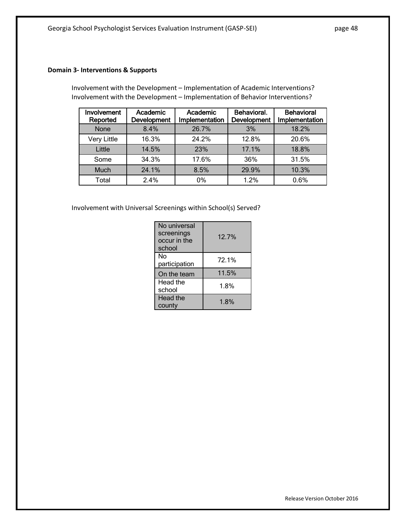### **Domain 3- Interventions & Supports**

Involvement with the Development – Implementation of Academic Interventions? Involvement with the Development – Implementation of Behavior Interventions?

| Involvement<br>Reported | Academic<br><b>Development</b> | Academic<br>Implementation | Behavioral.<br>Development | <b>Behavioral</b><br>Implementation |
|-------------------------|--------------------------------|----------------------------|----------------------------|-------------------------------------|
| <b>None</b>             | 8.4%                           | 26.7%                      | 3%                         | 18.2%                               |
| <b>Very Little</b>      | 16.3%                          | 24.2%                      | 12.8%                      | 20.6%                               |
| Little                  | 14.5%                          | 23%                        | 17.1%                      | 18.8%                               |
| Some                    | 34.3%                          | 17.6%                      | 36%                        | 31.5%                               |
| <b>Much</b>             | 24.1%                          | 8.5%                       | 29.9%                      | 10.3%                               |
| Total                   | 2.4%                           | 0%                         | 1.2%                       | 0.6%                                |

Involvement with Universal Screenings within School(s) Served?

| No universal<br>screenings<br>occur in the<br>school | 12.7% |
|------------------------------------------------------|-------|
| No<br>participation                                  | 72.1% |
| On the team                                          | 11.5% |
| Head the<br>school                                   | 1.8%  |
| Head the<br>county                                   | 1.8%  |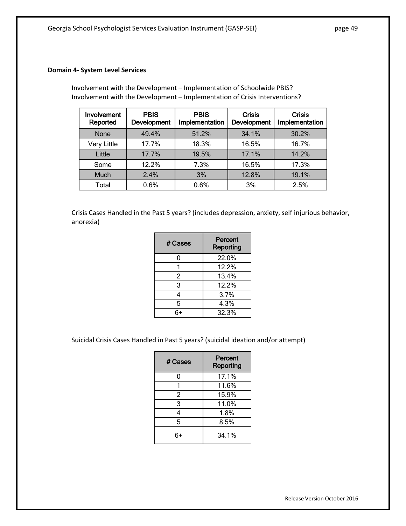### **Domain 4- System Level Services**

Involvement with the Development – Implementation of Schoolwide PBIS? Involvement with the Development – Implementation of Crisis Interventions?

| Involvement<br>Reported | <b>PBIS</b><br>Development | <b>PBIS</b><br>Implementation | <b>Crisis</b><br>Development | <b>Crisis</b><br>Implementation |
|-------------------------|----------------------------|-------------------------------|------------------------------|---------------------------------|
| <b>None</b>             | 49.4%                      | 51.2%                         | 34.1%                        | 30.2%                           |
| <b>Very Little</b>      | 17.7%                      | 18.3%                         | 16.5%                        | 16.7%                           |
| Little                  | 17.7%                      | 19.5%                         | 17.1%                        | 14.2%                           |
| Some                    | 12.2%                      | 7.3%                          | 16.5%                        | 17.3%                           |
| Much                    | 2.4%                       | 3%                            | 12.8%                        | 19.1%                           |
| Total                   | 0.6%                       | 0.6%                          | 3%                           | 2.5%                            |

Crisis Cases Handled in the Past 5 years? (includes depression, anxiety, self injurious behavior, anorexia)

| # Cases | <b>Percent</b><br>Reporting |
|---------|-----------------------------|
| 0       | 22.0%                       |
|         | 12.2%                       |
| 2       | 13.4%                       |
| 3       | 12.2%                       |
| 4       | 3.7%                        |
| 5       | 4.3%                        |
|         | 32.3%                       |

Suicidal Crisis Cases Handled in Past 5 years? (suicidal ideation and/or attempt)

| # Cases        | Percent<br>Reporting |
|----------------|----------------------|
| 0              | 17.1%                |
| 1              | 11.6%                |
| $\overline{2}$ | 15.9%                |
| 3              | 11.0%                |
| 4              | 1.8%                 |
| 5              | 8.5%                 |
|                | 34.1%                |

Release Version October 2016